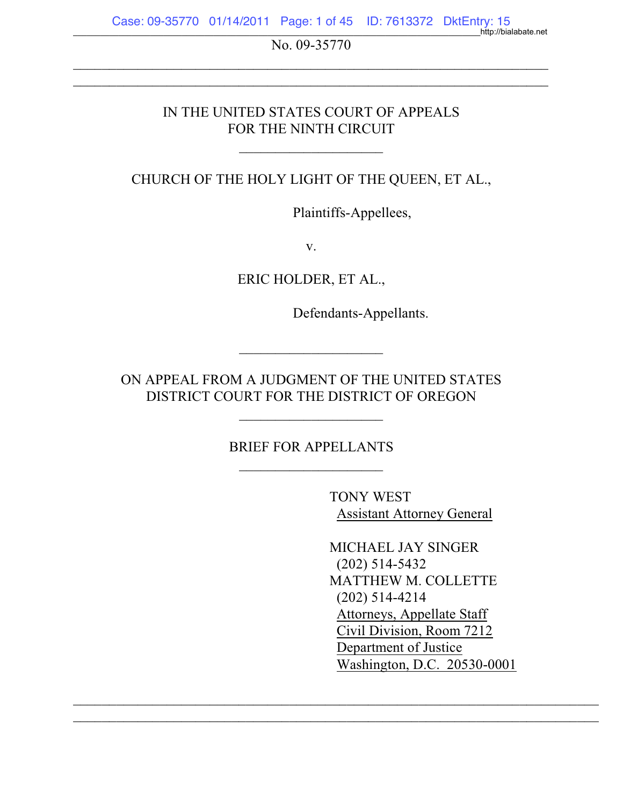No. 09-35770  $\mathcal{L}_\text{max}$  , and the contribution of the contribution of the contribution of the contribution of the contribution of the contribution of the contribution of the contribution of the contribution of the contribution of t

 $\mathcal{L}_\text{max}$  , and the contribution of the contribution of the contribution of the contribution of the contribution of the contribution of the contribution of the contribution of the contribution of the contribution of t

## IN THE UNITED STATES COURT OF APPEALS FOR THE NINTH CIRCUIT

CHURCH OF THE HOLY LIGHT OF THE QUEEN, ET AL.,

 $\mathcal{L}_\text{max}$  , where  $\mathcal{L}_\text{max}$  , we have the set of the set of the set of the set of the set of the set of the set of the set of the set of the set of the set of the set of the set of the set of the set of the set of

Plaintiffs-Appellees,

v.

ERIC HOLDER, ET AL.,

Defendants-Appellants.

ON APPEAL FROM A JUDGMENT OF THE UNITED STATES DISTRICT COURT FOR THE DISTRICT OF OREGON

\_\_\_\_\_\_\_\_\_\_\_\_\_\_\_\_\_\_\_\_

 $\mathcal{L}_\text{max}$  , where  $\mathcal{L}_\text{max}$  , we have the set of the set of the set of the set of the set of the set of the set of the set of the set of the set of the set of the set of the set of the set of the set of the set of

BRIEF FOR APPELLANTS  $\mathcal{L}_\text{max}$  , where  $\mathcal{L}_\text{max}$  , we have the set of the set of the set of the set of the set of the set of the set of the set of the set of the set of the set of the set of the set of the set of the set of the set of

 $\mathcal{L}_\text{max}$  , and the contribution of the contribution of the contribution of the contribution of the contribution of the contribution of the contribution of the contribution of the contribution of the contribution of t  $\overline{\phantom{a}}$  , and the contribution of the contribution of the contribution of the contribution of the contribution of the contribution of the contribution of the contribution of the contribution of the contribution of the

TONY WEST Assistant Attorney General

MICHAEL JAY SINGER (202) 514-5432 MATTHEW M. COLLETTE (202) 514-4214 Attorneys, Appellate Staff Civil Division, Room 7212 Department of Justice Washington, D.C. 20530-0001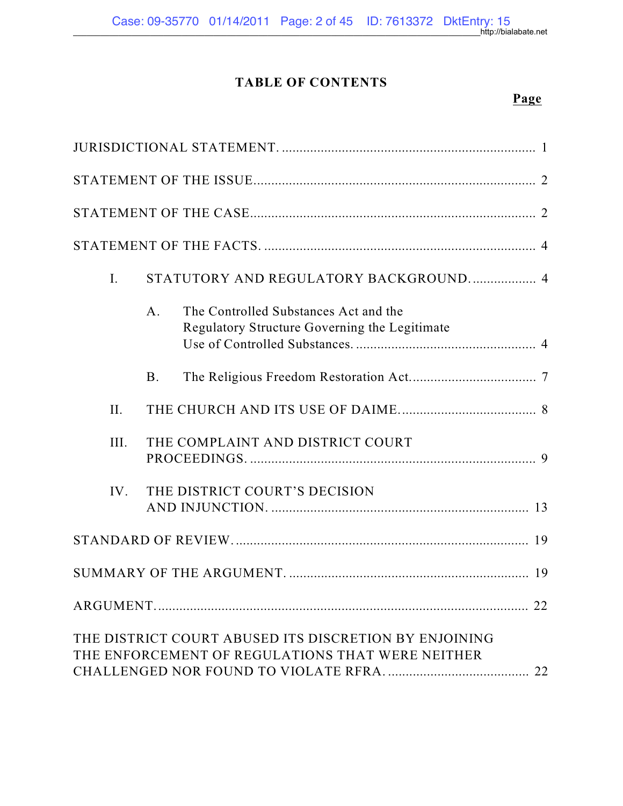## **TABLE OF CONTENTS**

\_\_\_\_\_\_\_\_\_\_\_\_\_\_\_\_\_\_\_\_\_\_\_\_\_\_\_\_\_\_\_\_\_\_\_\_\_\_\_\_\_\_\_\_\_\_\_\_\_\_\_\_\_\_\_\_\_\_\_\_\_\_\_\_\_\_\_\_\_\_\_\_\_\_\_\_\_\_\_\_\_\_\_\_\_\_\_\_\_\_http://bialabate.net

# **Page**

| $I_{\cdot}$ |                | STATUTORY AND REGULATORY BACKGROUND 4                                                                     |  |
|-------------|----------------|-----------------------------------------------------------------------------------------------------------|--|
|             | A <sub>1</sub> | The Controlled Substances Act and the<br>Regulatory Structure Governing the Legitimate                    |  |
|             | <b>B.</b>      |                                                                                                           |  |
| II.         |                |                                                                                                           |  |
| III.        |                | THE COMPLAINT AND DISTRICT COURT                                                                          |  |
| IV.         |                | THE DISTRICT COURT'S DECISION                                                                             |  |
|             |                |                                                                                                           |  |
|             |                |                                                                                                           |  |
|             |                |                                                                                                           |  |
|             |                | THE DISTRICT COURT ABUSED ITS DISCRETION BY ENJOINING<br>THE ENFORCEMENT OF REGULATIONS THAT WERE NEITHER |  |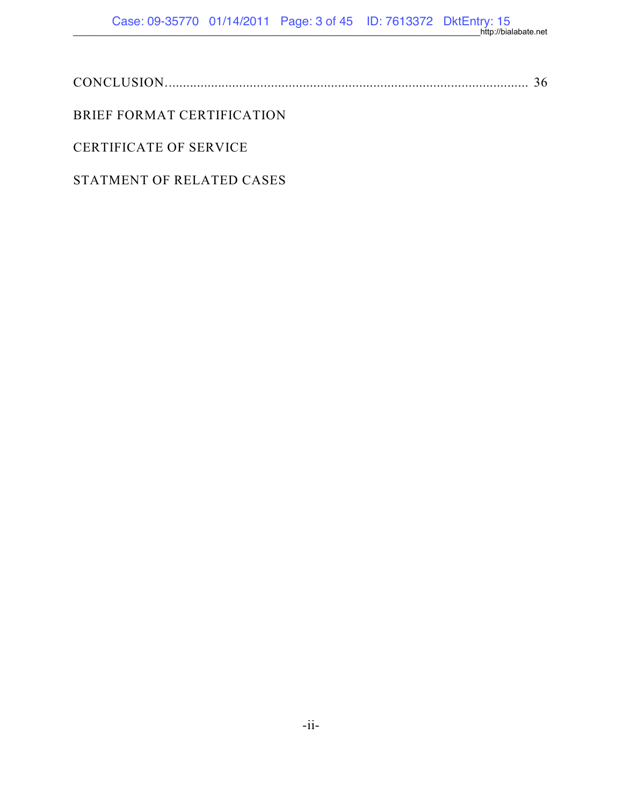\_\_\_\_\_\_\_\_\_\_\_\_\_\_\_\_\_\_\_\_\_\_\_\_\_\_\_\_\_\_\_\_\_\_\_\_\_\_\_\_\_\_\_\_\_\_\_\_\_\_\_\_\_\_\_\_\_\_\_\_\_\_\_\_\_\_\_\_\_\_\_\_\_\_\_\_\_\_\_\_\_\_\_\_\_\_\_\_\_\_http://bialabate.net

## BRIEF FORMAT CERTIFICATION

## CERTIFICATE OF SERVICE

### STATMENT OF RELATED CASES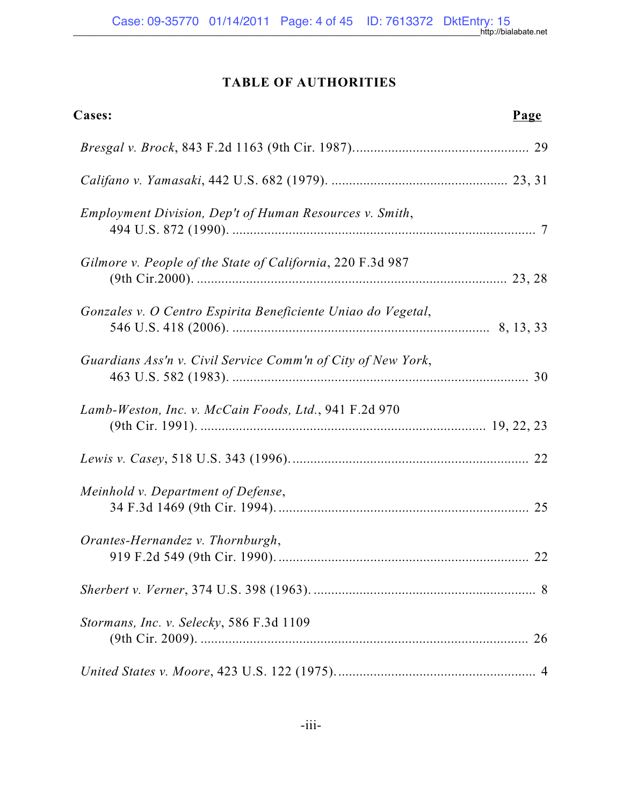## **TABLE OF AUTHORITIES**

| Cases:                                                            | Page |
|-------------------------------------------------------------------|------|
|                                                                   |      |
|                                                                   |      |
| Employment Division, Dep't of Human Resources v. Smith,           |      |
| Gilmore v. People of the State of California, 220 F.3d 987        |      |
| Gonzales v. O Centro Espirita Beneficiente Uniao do Vegetal,      |      |
| Guardians Ass'n v. Civil Service Comm'n of City of New York,      |      |
| Lamb-Weston, Inc. v. McCain Foods, Ltd., 941 F.2d 970             |      |
|                                                                   |      |
| Meinhold v. Department of Defense,                                |      |
| Orantes-Hernandez v. Thornburgh,<br>919 F.2d 549 (9th Cir. 1990). | 22   |
|                                                                   |      |
| Stormans, Inc. v. Selecky, 586 F.3d 1109                          |      |
|                                                                   |      |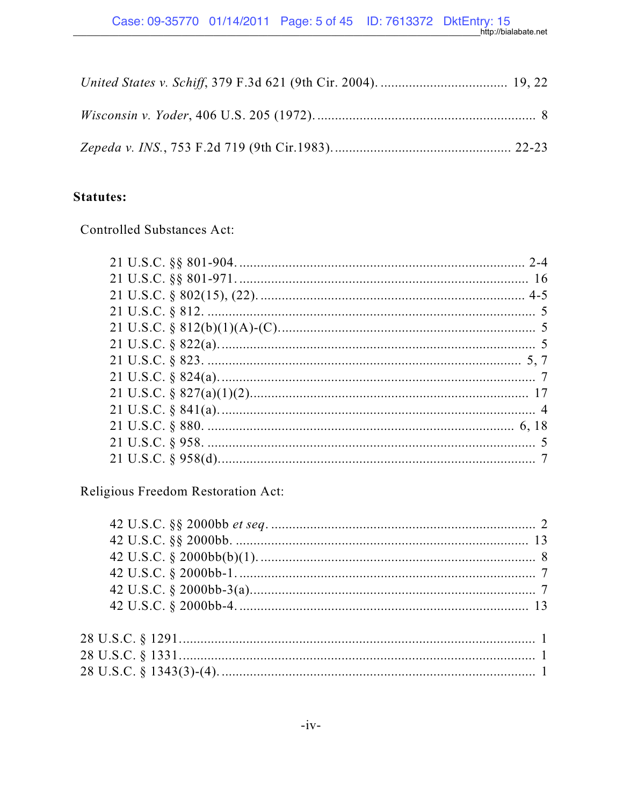## **Statutes:**

**Controlled Substances Act:** 

Religious Freedom Restoration Act: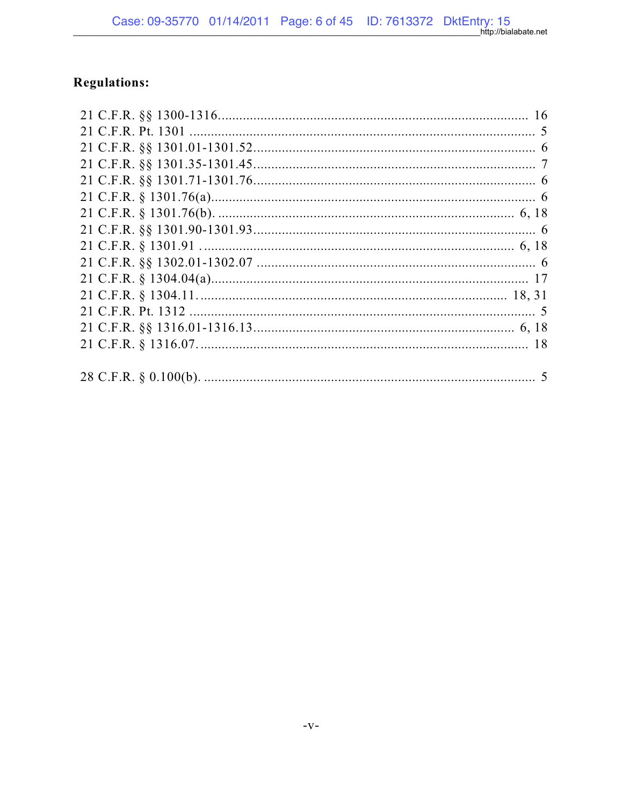# **Regulations:**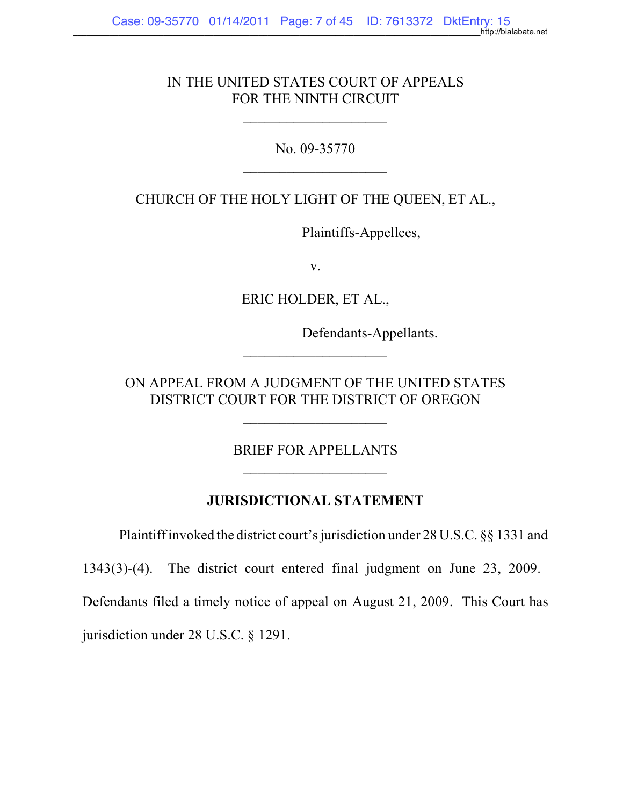### IN THE UNITED STATES COURT OF APPEALS FOR THE NINTH CIRCUIT

 $\mathcal{L}_\text{max}$  , where  $\mathcal{L}_\text{max}$  , we have the set of  $\mathcal{L}_\text{max}$ 

No. 09-35770 \_\_\_\_\_\_\_\_\_\_\_\_\_\_\_\_\_\_\_\_

CHURCH OF THE HOLY LIGHT OF THE QUEEN, ET AL.,

Plaintiffs-Appellees,

v.

ERIC HOLDER, ET AL.,

Defendants-Appellants.

ON APPEAL FROM A JUDGMENT OF THE UNITED STATES DISTRICT COURT FOR THE DISTRICT OF OREGON

 $\mathcal{L}_\text{max}$  , where  $\mathcal{L}_\text{max}$  , we have the set of  $\mathcal{L}_\text{max}$ 

 $\frac{1}{2}$  , which is the set of the set of the set of the set of the set of the set of the set of the set of the set of the set of the set of the set of the set of the set of the set of the set of the set of the set of th

BRIEF FOR APPELLANTS \_\_\_\_\_\_\_\_\_\_\_\_\_\_\_\_\_\_\_\_

### **JURISDICTIONAL STATEMENT**

Plaintiffinvoked the district court's jurisdiction under 28 U.S.C. §§ 1331 and

1343(3)-(4). The district court entered final judgment on June 23, 2009.

Defendants filed a timely notice of appeal on August 21, 2009. This Court has

jurisdiction under 28 U.S.C. § 1291.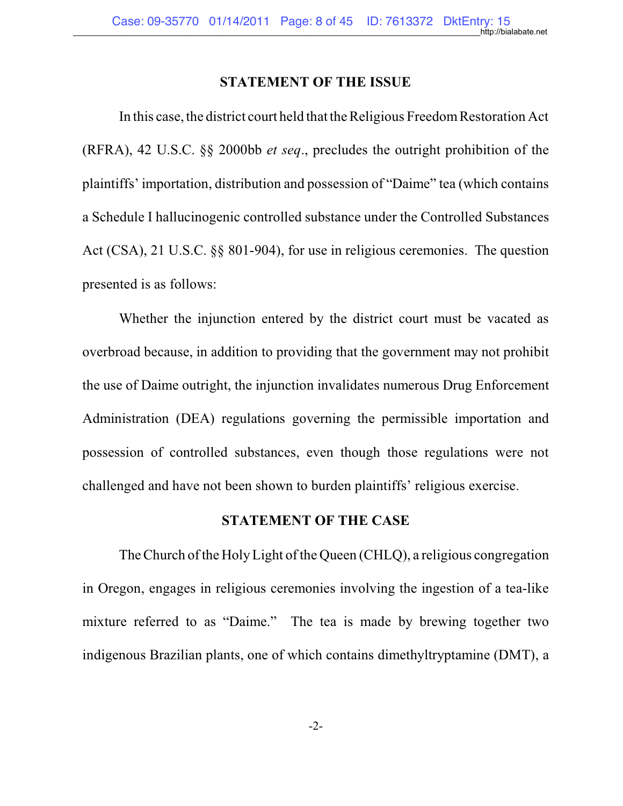#### **STATEMENT OF THE ISSUE**

In this case, the district court held that the Religious FreedomRestoration Act (RFRA), 42 U.S.C. §§ 2000bb *et seq*., precludes the outright prohibition of the plaintiffs' importation, distribution and possession of "Daime" tea (which contains a Schedule I hallucinogenic controlled substance under the Controlled Substances Act (CSA), 21 U.S.C. §§ 801-904), for use in religious ceremonies. The question presented is as follows:

Whether the injunction entered by the district court must be vacated as overbroad because, in addition to providing that the government may not prohibit the use of Daime outright, the injunction invalidates numerous Drug Enforcement Administration (DEA) regulations governing the permissible importation and possession of controlled substances, even though those regulations were not challenged and have not been shown to burden plaintiffs' religious exercise.

#### **STATEMENT OF THE CASE**

The Church of the Holy Light of the Queen (CHLQ), a religious congregation in Oregon, engages in religious ceremonies involving the ingestion of a tea-like mixture referred to as "Daime." The tea is made by brewing together two indigenous Brazilian plants, one of which contains dimethyltryptamine (DMT), a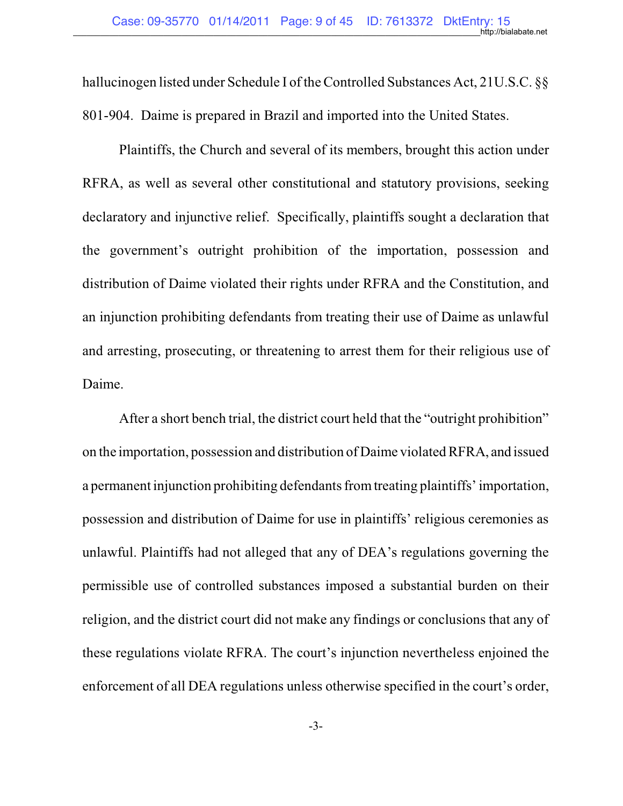hallucinogen listed under Schedule I of the Controlled Substances Act, 21U.S.C. §§ 801-904. Daime is prepared in Brazil and imported into the United States.

Plaintiffs, the Church and several of its members, brought this action under RFRA, as well as several other constitutional and statutory provisions, seeking declaratory and injunctive relief. Specifically, plaintiffs sought a declaration that the government's outright prohibition of the importation, possession and distribution of Daime violated their rights under RFRA and the Constitution, and an injunction prohibiting defendants from treating their use of Daime as unlawful and arresting, prosecuting, or threatening to arrest them for their religious use of Daime.

After a short bench trial, the district court held that the "outright prohibition" on the importation, possession and distribution of Daime violatedRFRA, and issued a permanent injunction prohibiting defendants fromtreating plaintiffs' importation, possession and distribution of Daime for use in plaintiffs' religious ceremonies as unlawful. Plaintiffs had not alleged that any of DEA's regulations governing the permissible use of controlled substances imposed a substantial burden on their religion, and the district court did not make any findings or conclusions that any of these regulations violate RFRA. The court's injunction nevertheless enjoined the enforcement of all DEA regulations unless otherwise specified in the court's order,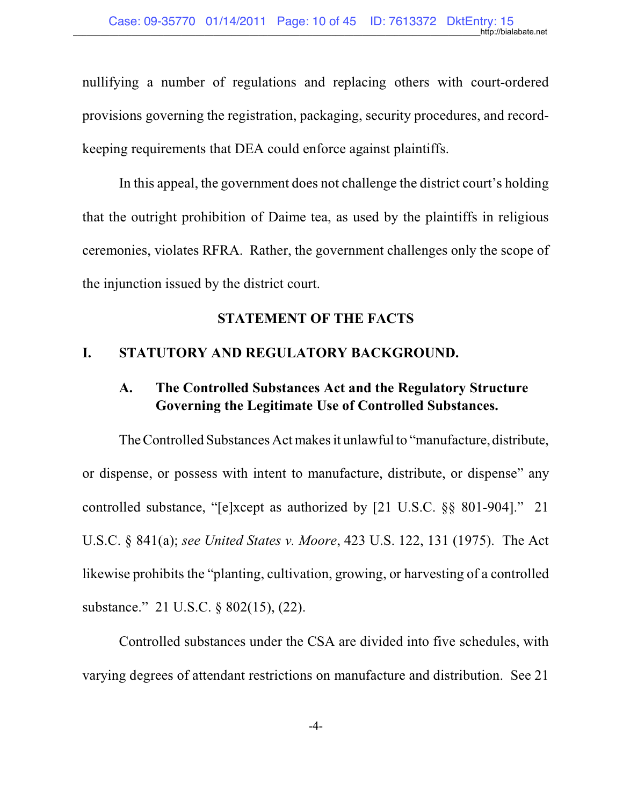nullifying a number of regulations and replacing others with court-ordered provisions governing the registration, packaging, security procedures, and recordkeeping requirements that DEA could enforce against plaintiffs.

In this appeal, the government does not challenge the district court's holding that the outright prohibition of Daime tea, as used by the plaintiffs in religious ceremonies, violates RFRA. Rather, the government challenges only the scope of the injunction issued by the district court.

### **STATEMENT OF THE FACTS**

## **I. STATUTORY AND REGULATORY BACKGROUND.**

## **A. The Controlled Substances Act and the Regulatory Structure Governing the Legitimate Use of Controlled Substances.**

The Controlled Substances Act makes it unlawful to "manufacture, distribute, or dispense, or possess with intent to manufacture, distribute, or dispense" any controlled substance, "[e]xcept as authorized by [21 U.S.C. §§ 801-904]." 21 U.S.C. § 841(a); *see United States v. Moore*, 423 U.S. 122, 131 (1975). The Act likewise prohibits the "planting, cultivation, growing, or harvesting of a controlled substance." 21 U.S.C. § 802(15), (22).

Controlled substances under the CSA are divided into five schedules, with varying degrees of attendant restrictions on manufacture and distribution. See 21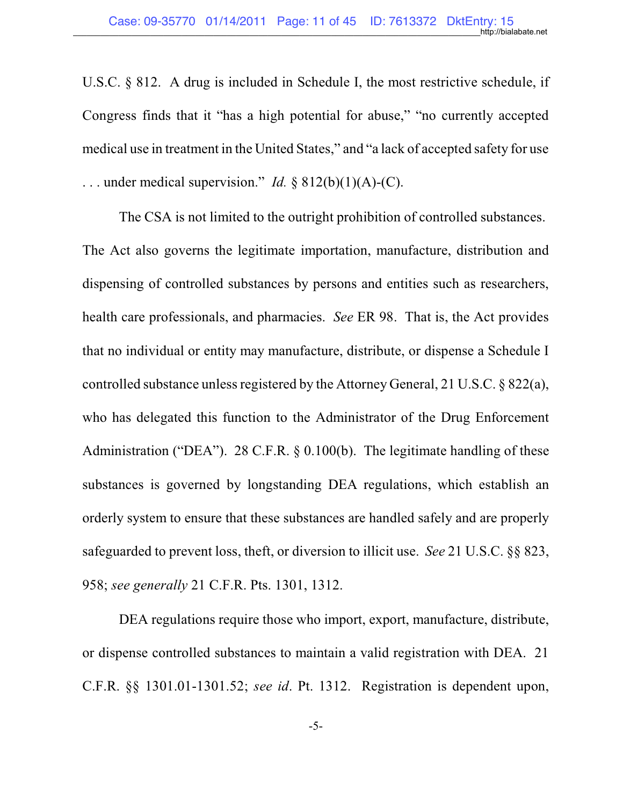U.S.C. § 812. A drug is included in Schedule I, the most restrictive schedule, if Congress finds that it "has a high potential for abuse," "no currently accepted medical use in treatment in the United States," and "a lack of accepted safety for use ... under medical supervision." *Id.*  $\S 812(b)(1)(A)-(C)$ .

The CSA is not limited to the outright prohibition of controlled substances. The Act also governs the legitimate importation, manufacture, distribution and dispensing of controlled substances by persons and entities such as researchers, health care professionals, and pharmacies. *See* ER 98. That is, the Act provides that no individual or entity may manufacture, distribute, or dispense a Schedule I controlled substance unless registered by the Attorney General, 21 U.S.C.  $\S 822(a)$ , who has delegated this function to the Administrator of the Drug Enforcement Administration ("DEA"). 28 C.F.R. § 0.100(b). The legitimate handling of these substances is governed by longstanding DEA regulations, which establish an orderly system to ensure that these substances are handled safely and are properly safeguarded to prevent loss, theft, or diversion to illicit use. *See* 21 U.S.C. §§ 823, 958; *see generally* 21 C.F.R. Pts. 1301, 1312.

DEA regulations require those who import, export, manufacture, distribute, or dispense controlled substances to maintain a valid registration with DEA. 21 C.F.R. §§ 1301.01-1301.52; *see id*. Pt. 1312. Registration is dependent upon,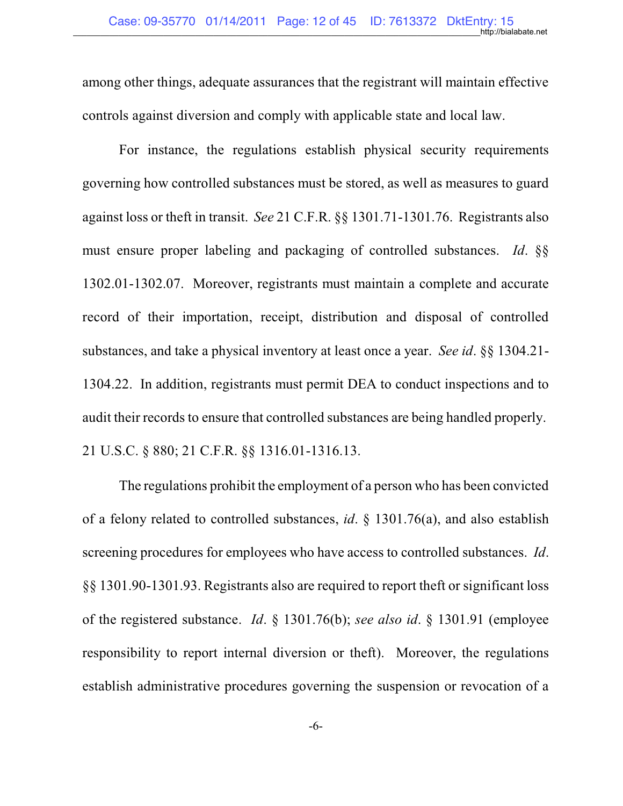among other things, adequate assurances that the registrant will maintain effective controls against diversion and comply with applicable state and local law.

For instance, the regulations establish physical security requirements governing how controlled substances must be stored, as well as measures to guard against loss or theft in transit. *See* 21 C.F.R. §§ 1301.71-1301.76. Registrants also must ensure proper labeling and packaging of controlled substances. *Id*. §§ 1302.01-1302.07. Moreover, registrants must maintain a complete and accurate record of their importation, receipt, distribution and disposal of controlled substances, and take a physical inventory at least once a year. *See id*. §§ 1304.21- 1304.22. In addition, registrants must permit DEA to conduct inspections and to audit their records to ensure that controlled substances are being handled properly. 21 U.S.C. § 880; 21 C.F.R. §§ 1316.01-1316.13.

The regulations prohibit the employment of a person who has been convicted of a felony related to controlled substances, *id*. § 1301.76(a), and also establish screening procedures for employees who have access to controlled substances. *Id*. §§ 1301.90-1301.93. Registrants also are required to report theft or significant loss of the registered substance. *Id*. § 1301.76(b); *see also id*. § 1301.91 (employee responsibility to report internal diversion or theft). Moreover, the regulations establish administrative procedures governing the suspension or revocation of a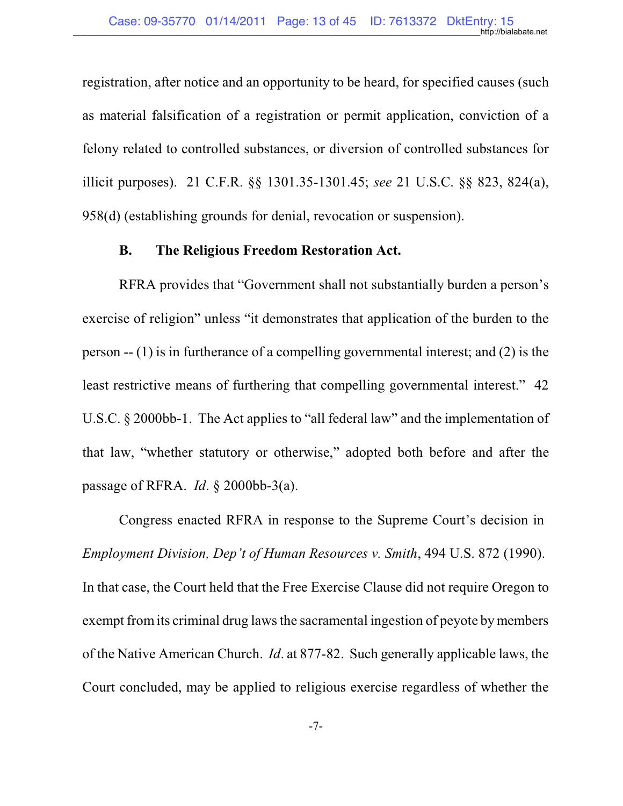registration, after notice and an opportunity to be heard, for specified causes (such as material falsification of a registration or permit application, conviction of a felony related to controlled substances, or diversion of controlled substances for illicit purposes). 21 C.F.R. §§ 1301.35-1301.45; *see* 21 U.S.C. §§ 823, 824(a), 958(d) (establishing grounds for denial, revocation or suspension).

### **B. The Religious Freedom Restoration Act.**

RFRA provides that "Government shall not substantially burden a person's exercise of religion" unless "it demonstrates that application of the burden to the person -- (1) is in furtherance of a compelling governmental interest; and (2) is the least restrictive means of furthering that compelling governmental interest." 42 U.S.C. § 2000bb-1. The Act applies to "all federal law" and the implementation of that law, "whether statutory or otherwise," adopted both before and after the passage of RFRA. *Id*. § 2000bb-3(a).

Congress enacted RFRA in response to the Supreme Court's decision in *Employment Division, Dep't of Human Resources v. Smith*, 494 U.S. 872 (1990). In that case, the Court held that the Free Exercise Clause did not require Oregon to exempt fromits criminal drug laws the sacramental ingestion of peyote by members of the Native American Church. *Id*. at 877-82. Such generally applicable laws, the Court concluded, may be applied to religious exercise regardless of whether the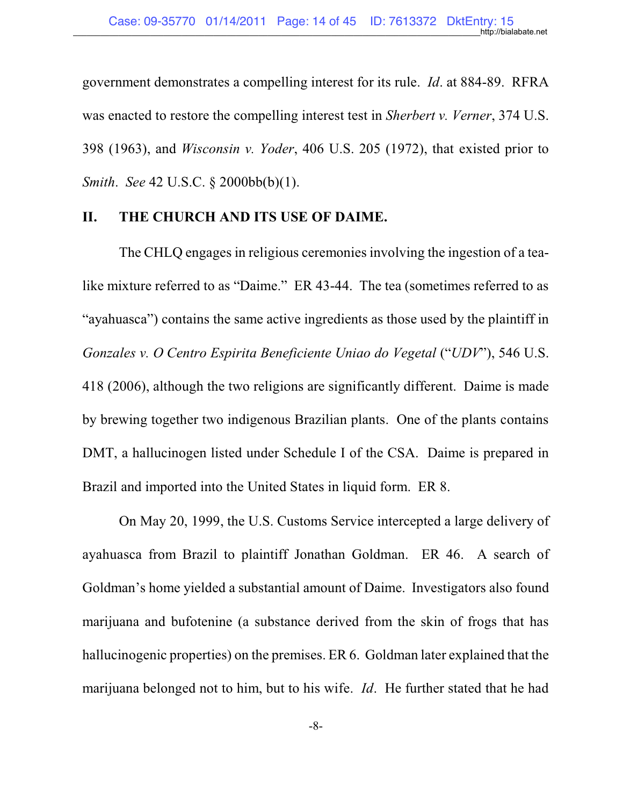government demonstrates a compelling interest for its rule. *Id*. at 884-89. RFRA was enacted to restore the compelling interest test in *Sherbert v. Verner*, 374 U.S. 398 (1963), and *Wisconsin v. Yoder*, 406 U.S. 205 (1972), that existed prior to *Smith*. *See* 42 U.S.C. § 2000bb(b)(1).

#### **II. THE CHURCH AND ITS USE OF DAIME.**

The CHLQ engages in religious ceremonies involving the ingestion of a tealike mixture referred to as "Daime." ER 43-44. The tea (sometimes referred to as "ayahuasca") contains the same active ingredients as those used by the plaintiff in *Gonzales v. O Centro Espirita Beneficiente Uniao do Vegetal* ("*UDV*"), 546 U.S. 418 (2006), although the two religions are significantly different. Daime is made by brewing together two indigenous Brazilian plants. One of the plants contains DMT, a hallucinogen listed under Schedule I of the CSA. Daime is prepared in Brazil and imported into the United States in liquid form. ER 8.

On May 20, 1999, the U.S. Customs Service intercepted a large delivery of ayahuasca from Brazil to plaintiff Jonathan Goldman. ER 46. A search of Goldman's home yielded a substantial amount of Daime. Investigators also found marijuana and bufotenine (a substance derived from the skin of frogs that has hallucinogenic properties) on the premises. ER 6. Goldman later explained that the marijuana belonged not to him, but to his wife. *Id*. He further stated that he had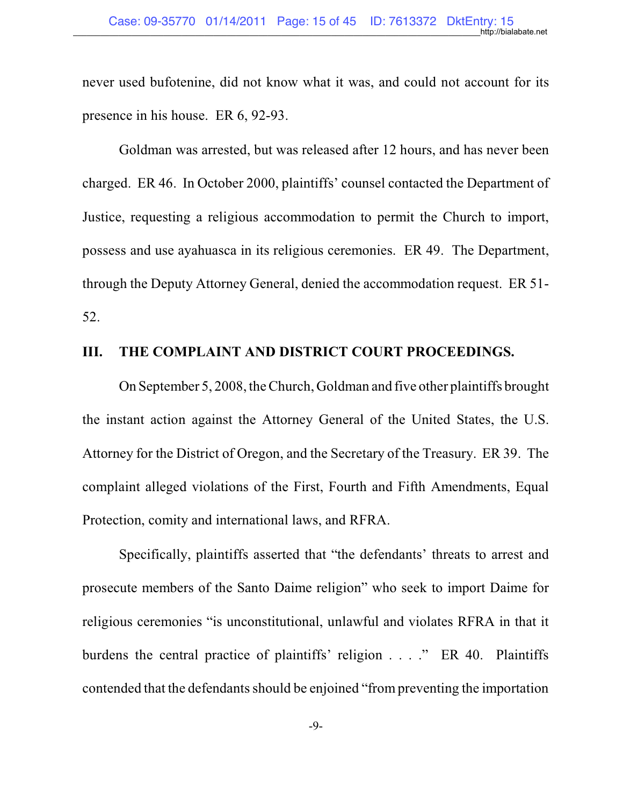never used bufotenine, did not know what it was, and could not account for its presence in his house. ER 6, 92-93.

Goldman was arrested, but was released after 12 hours, and has never been charged. ER 46. In October 2000, plaintiffs' counsel contacted the Department of Justice, requesting a religious accommodation to permit the Church to import, possess and use ayahuasca in its religious ceremonies. ER 49. The Department, through the Deputy Attorney General, denied the accommodation request. ER 51- 52.

#### **III. THE COMPLAINT AND DISTRICT COURT PROCEEDINGS.**

On September 5, 2008, the Church, Goldman and five other plaintiffs brought the instant action against the Attorney General of the United States, the U.S. Attorney for the District of Oregon, and the Secretary of the Treasury. ER 39. The complaint alleged violations of the First, Fourth and Fifth Amendments, Equal Protection, comity and international laws, and RFRA.

Specifically, plaintiffs asserted that "the defendants' threats to arrest and prosecute members of the Santo Daime religion" who seek to import Daime for religious ceremonies "is unconstitutional, unlawful and violates RFRA in that it burdens the central practice of plaintiffs' religion . . . ." ER 40. Plaintiffs contended that the defendants should be enjoined "from preventing the importation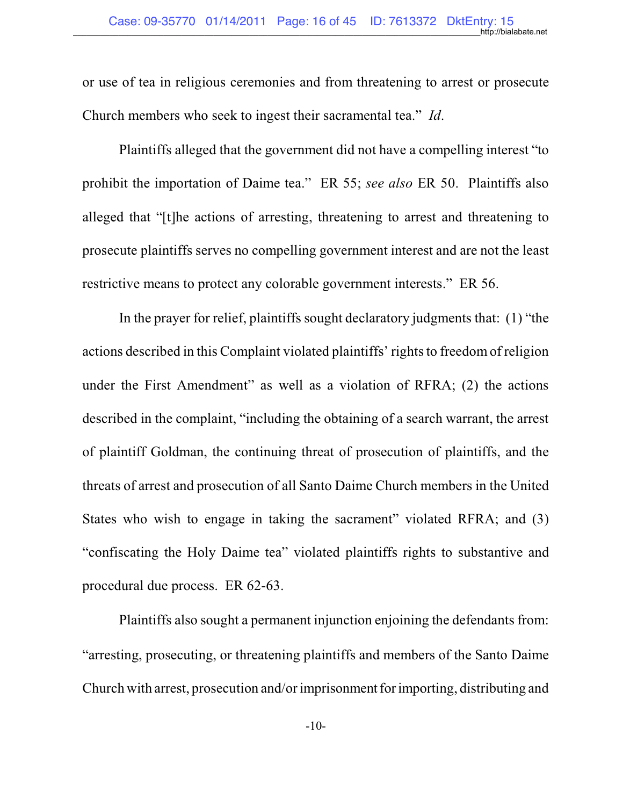or use of tea in religious ceremonies and from threatening to arrest or prosecute Church members who seek to ingest their sacramental tea." *Id*.

Plaintiffs alleged that the government did not have a compelling interest "to prohibit the importation of Daime tea." ER 55; *see also* ER 50. Plaintiffs also alleged that "[t]he actions of arresting, threatening to arrest and threatening to prosecute plaintiffs serves no compelling government interest and are not the least restrictive means to protect any colorable government interests." ER 56.

In the prayer for relief, plaintiffs sought declaratory judgments that: (1) "the actions described in this Complaint violated plaintiffs' rights to freedomof religion under the First Amendment" as well as a violation of RFRA; (2) the actions described in the complaint, "including the obtaining of a search warrant, the arrest of plaintiff Goldman, the continuing threat of prosecution of plaintiffs, and the threats of arrest and prosecution of all Santo Daime Church members in the United States who wish to engage in taking the sacrament" violated RFRA; and (3) "confiscating the Holy Daime tea" violated plaintiffs rights to substantive and procedural due process. ER 62-63.

Plaintiffs also sought a permanent injunction enjoining the defendants from: "arresting, prosecuting, or threatening plaintiffs and members of the Santo Daime Church with arrest, prosecution and/orimprisonment for importing, distributing and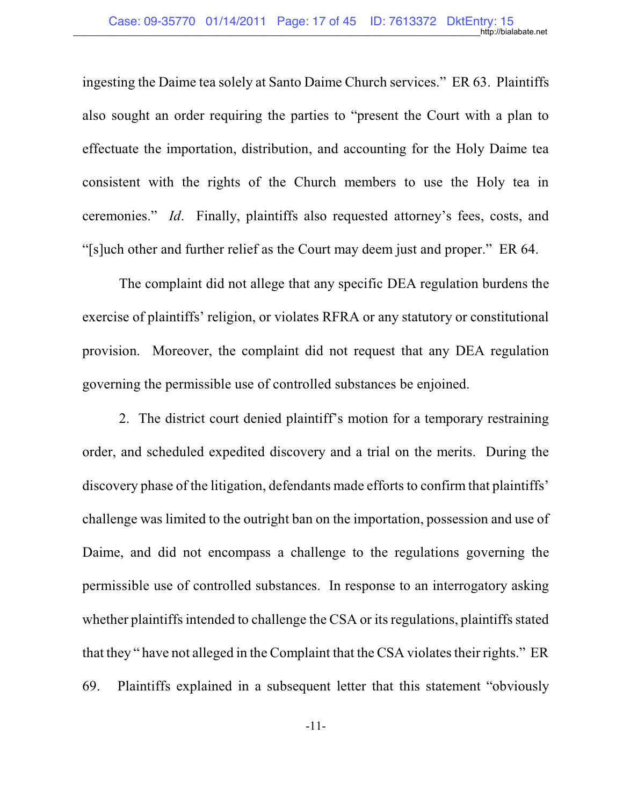ingesting the Daime tea solely at Santo Daime Church services." ER 63. Plaintiffs also sought an order requiring the parties to "present the Court with a plan to effectuate the importation, distribution, and accounting for the Holy Daime tea consistent with the rights of the Church members to use the Holy tea in ceremonies." *Id*. Finally, plaintiffs also requested attorney's fees, costs, and "[s]uch other and further relief as the Court may deem just and proper." ER 64.

The complaint did not allege that any specific DEA regulation burdens the exercise of plaintiffs' religion, or violates RFRA or any statutory or constitutional provision. Moreover, the complaint did not request that any DEA regulation governing the permissible use of controlled substances be enjoined.

2. The district court denied plaintiff's motion for a temporary restraining order, and scheduled expedited discovery and a trial on the merits. During the discovery phase of the litigation, defendants made efforts to confirm that plaintiffs' challenge was limited to the outright ban on the importation, possession and use of Daime, and did not encompass a challenge to the regulations governing the permissible use of controlled substances. In response to an interrogatory asking whether plaintiffs intended to challenge the CSA or its regulations, plaintiffs stated that they " have not alleged in the Complaint that the CSA violates their rights." ER 69. Plaintiffs explained in a subsequent letter that this statement "obviously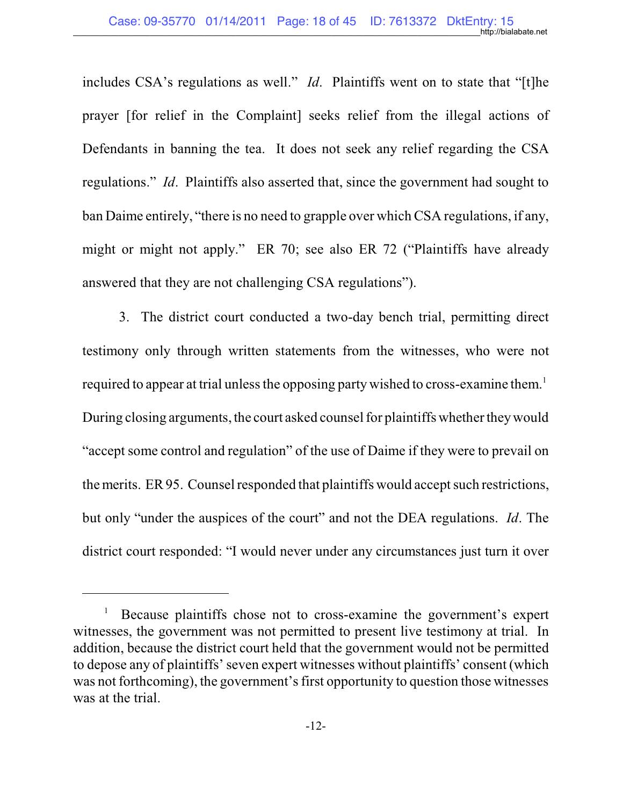includes CSA's regulations as well." *Id*. Plaintiffs went on to state that "[t]he prayer [for relief in the Complaint] seeks relief from the illegal actions of Defendants in banning the tea. It does not seek any relief regarding the CSA regulations." *Id*. Plaintiffs also asserted that, since the government had sought to ban Daime entirely, "there is no need to grapple over which CSA regulations, if any, might or might not apply." ER 70; see also ER 72 ("Plaintiffs have already answered that they are not challenging CSA regulations").

3. The district court conducted a two-day bench trial, permitting direct testimony only through written statements from the witnesses, who were not required to appear at trial unless the opposing party wished to cross-examine them.<sup>1</sup> During closing arguments, the court asked counsel for plaintiffs whether theywould "accept some control and regulation" of the use of Daime if they were to prevail on the merits. ER 95. Counsel responded that plaintiffs would accept such restrictions, but only "under the auspices of the court" and not the DEA regulations. *Id*. The district court responded: "I would never under any circumstances just turn it over

<sup>&</sup>lt;sup>1</sup> Because plaintiffs chose not to cross-examine the government's expert witnesses, the government was not permitted to present live testimony at trial. In addition, because the district court held that the government would not be permitted to depose any of plaintiffs' seven expert witnesses without plaintiffs' consent (which was not forthcoming), the government's first opportunity to question those witnesses was at the trial.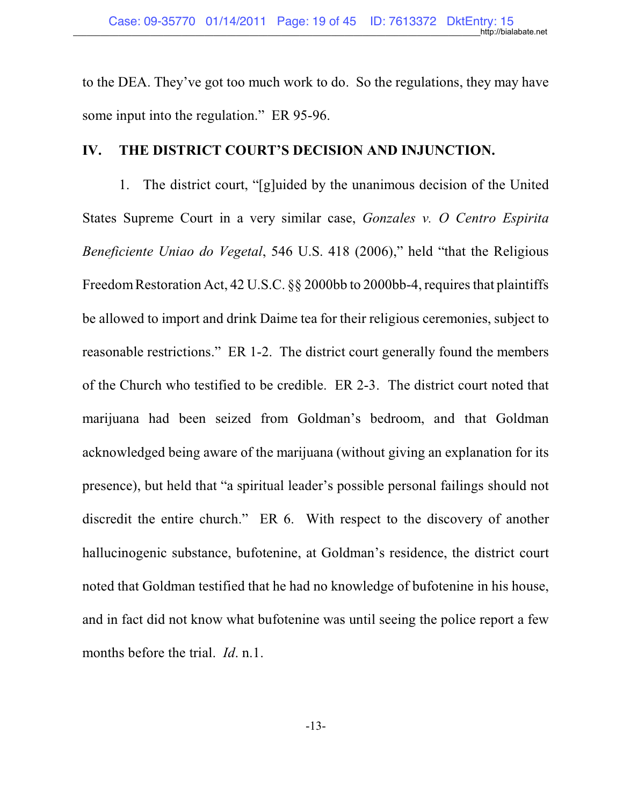to the DEA. They've got too much work to do. So the regulations, they may have some input into the regulation." ER 95-96.

### **IV. THE DISTRICT COURT'S DECISION AND INJUNCTION.**

1. The district court, "[g]uided by the unanimous decision of the United States Supreme Court in a very similar case, *Gonzales v. O Centro Espirita Beneficiente Uniao do Vegetal*, 546 U.S. 418 (2006)," held "that the Religious Freedom Restoration Act, 42 U.S.C. §§ 2000bb to 2000bb-4, requires that plaintiffs be allowed to import and drink Daime tea for their religious ceremonies, subject to reasonable restrictions." ER 1-2. The district court generally found the members of the Church who testified to be credible. ER 2-3. The district court noted that marijuana had been seized from Goldman's bedroom, and that Goldman acknowledged being aware of the marijuana (without giving an explanation for its presence), but held that "a spiritual leader's possible personal failings should not discredit the entire church." ER 6. With respect to the discovery of another hallucinogenic substance, bufotenine, at Goldman's residence, the district court noted that Goldman testified that he had no knowledge of bufotenine in his house, and in fact did not know what bufotenine was until seeing the police report a few months before the trial. *Id*. n.1.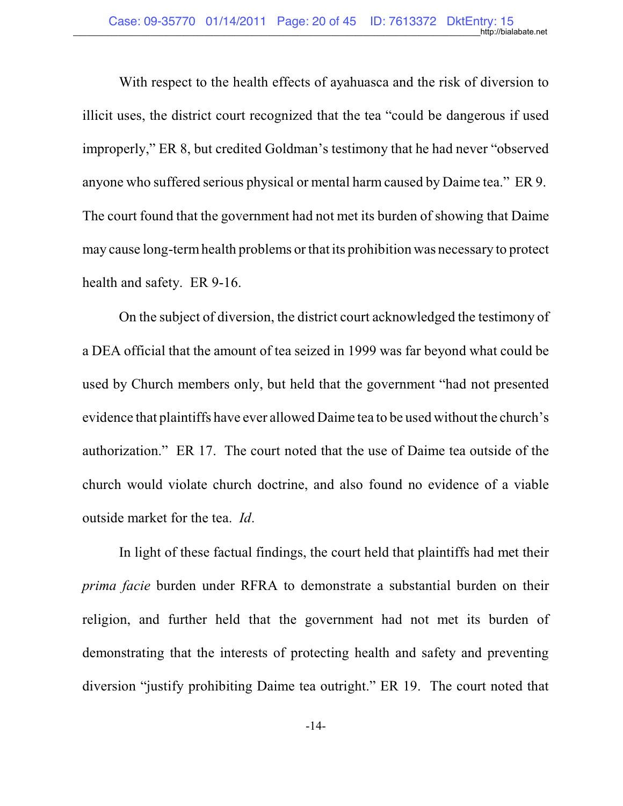With respect to the health effects of ayahuasca and the risk of diversion to illicit uses, the district court recognized that the tea "could be dangerous if used improperly," ER 8, but credited Goldman's testimony that he had never "observed anyone who suffered serious physical or mental harm caused by Daime tea." ER 9. The court found that the government had not met its burden of showing that Daime may cause long-term health problems or that its prohibition was necessary to protect health and safety. ER 9-16.

On the subject of diversion, the district court acknowledged the testimony of a DEA official that the amount of tea seized in 1999 was far beyond what could be used by Church members only, but held that the government "had not presented evidence that plaintiffs have ever allowed Daime tea to be used without the church's authorization." ER 17. The court noted that the use of Daime tea outside of the church would violate church doctrine, and also found no evidence of a viable outside market for the tea. *Id*.

In light of these factual findings, the court held that plaintiffs had met their *prima facie* burden under RFRA to demonstrate a substantial burden on their religion, and further held that the government had not met its burden of demonstrating that the interests of protecting health and safety and preventing diversion "justify prohibiting Daime tea outright." ER 19. The court noted that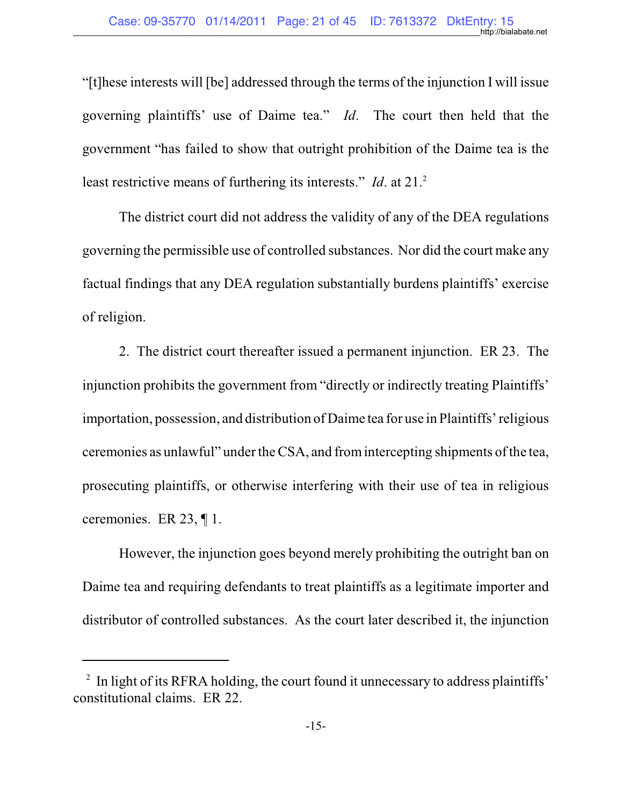"[t]hese interests will [be] addressed through the terms of the injunction I will issue governing plaintiffs' use of Daime tea." *Id*. The court then held that the government "has failed to show that outright prohibition of the Daime tea is the least restrictive means of furthering its interests." *Id.* at 21.<sup>2</sup>

The district court did not address the validity of any of the DEA regulations governing the permissible use of controlled substances. Nor did the court make any factual findings that any DEA regulation substantially burdens plaintiffs' exercise of religion.

2. The district court thereafter issued a permanent injunction. ER 23. The injunction prohibits the government from "directly or indirectly treating Plaintiffs' importation, possession, and distribution of Daime tea for use in Plaintiffs' religious ceremonies as unlawful" under the CSA, and fromintercepting shipments ofthe tea, prosecuting plaintiffs, or otherwise interfering with their use of tea in religious ceremonies. ER 23, ¶ 1.

However, the injunction goes beyond merely prohibiting the outright ban on Daime tea and requiring defendants to treat plaintiffs as a legitimate importer and distributor of controlled substances. As the court later described it, the injunction

<sup>&</sup>lt;sup>2</sup> In light of its RFRA holding, the court found it unnecessary to address plaintiffs' constitutional claims. ER 22.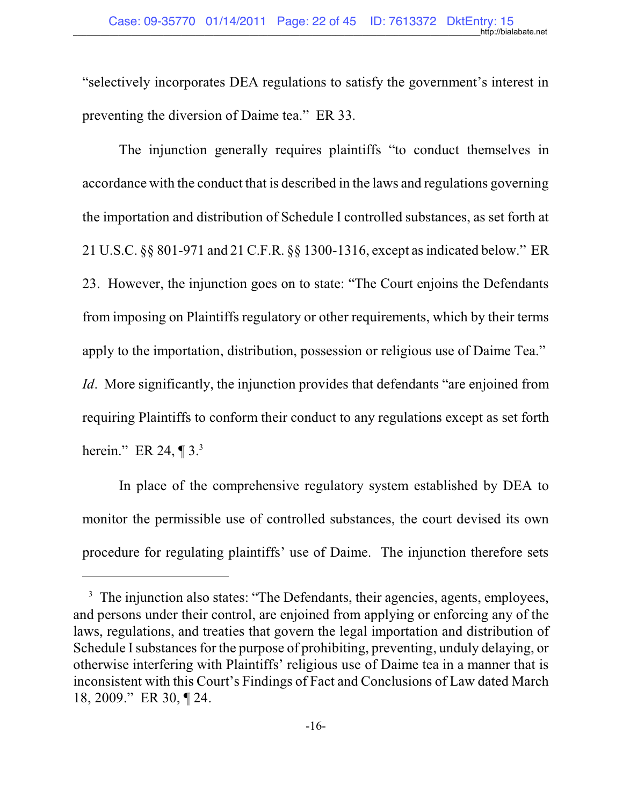"selectively incorporates DEA regulations to satisfy the government's interest in preventing the diversion of Daime tea." ER 33.

The injunction generally requires plaintiffs "to conduct themselves in accordance with the conduct that is described in the laws and regulations governing the importation and distribution of Schedule I controlled substances, as set forth at 21 U.S.C. §§ 801-971 and 21 C.F.R. §§ 1300-1316, except asindicated below." ER 23. However, the injunction goes on to state: "The Court enjoins the Defendants from imposing on Plaintiffs regulatory or other requirements, which by their terms apply to the importation, distribution, possession or religious use of Daime Tea."

*Id.* More significantly, the injunction provides that defendants "are enjoined from requiring Plaintiffs to conform their conduct to any regulations except as set forth herein." ER 24,  $\P$  3. $3$ 

In place of the comprehensive regulatory system established by DEA to monitor the permissible use of controlled substances, the court devised its own procedure for regulating plaintiffs' use of Daime. The injunction therefore sets

<sup>&</sup>lt;sup>3</sup> The injunction also states: "The Defendants, their agencies, agents, employees, and persons under their control, are enjoined from applying or enforcing any of the laws, regulations, and treaties that govern the legal importation and distribution of Schedule I substances for the purpose of prohibiting, preventing, unduly delaying, or otherwise interfering with Plaintiffs' religious use of Daime tea in a manner that is inconsistent with this Court's Findings of Fact and Conclusions of Law dated March 18, 2009." ER 30, ¶ 24.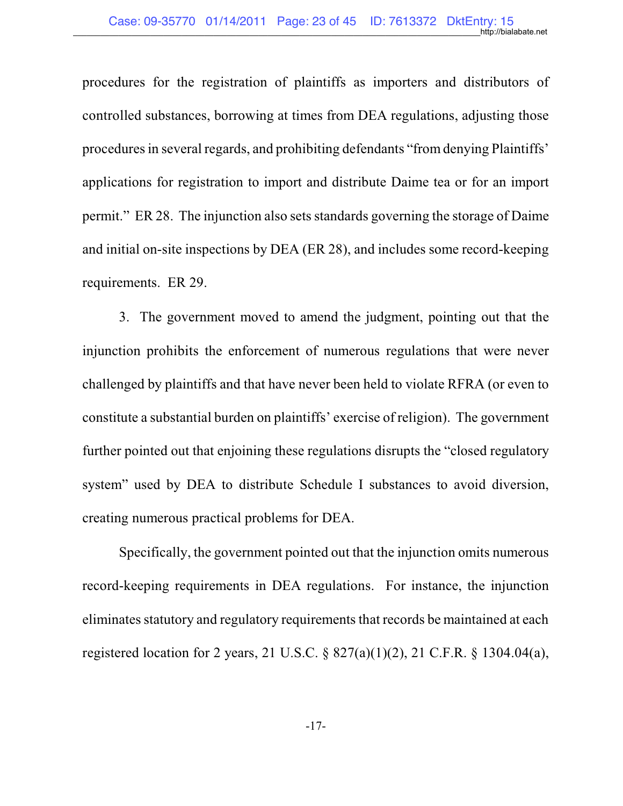procedures for the registration of plaintiffs as importers and distributors of controlled substances, borrowing at times from DEA regulations, adjusting those procedures in several regards, and prohibiting defendants "from denying Plaintiffs" applications for registration to import and distribute Daime tea or for an import permit." ER 28. The injunction also setsstandards governing the storage of Daime and initial on-site inspections by DEA (ER 28), and includes some record-keeping requirements. ER 29.

3. The government moved to amend the judgment, pointing out that the injunction prohibits the enforcement of numerous regulations that were never challenged by plaintiffs and that have never been held to violate RFRA (or even to constitute a substantial burden on plaintiffs' exercise of religion). The government further pointed out that enjoining these regulations disrupts the "closed regulatory system" used by DEA to distribute Schedule I substances to avoid diversion, creating numerous practical problems for DEA.

Specifically, the government pointed out that the injunction omits numerous record-keeping requirements in DEA regulations. For instance, the injunction eliminates statutory and regulatory requirements that records be maintained at each registered location for 2 years, 21 U.S.C. § 827(a)(1)(2), 21 C.F.R. § 1304.04(a),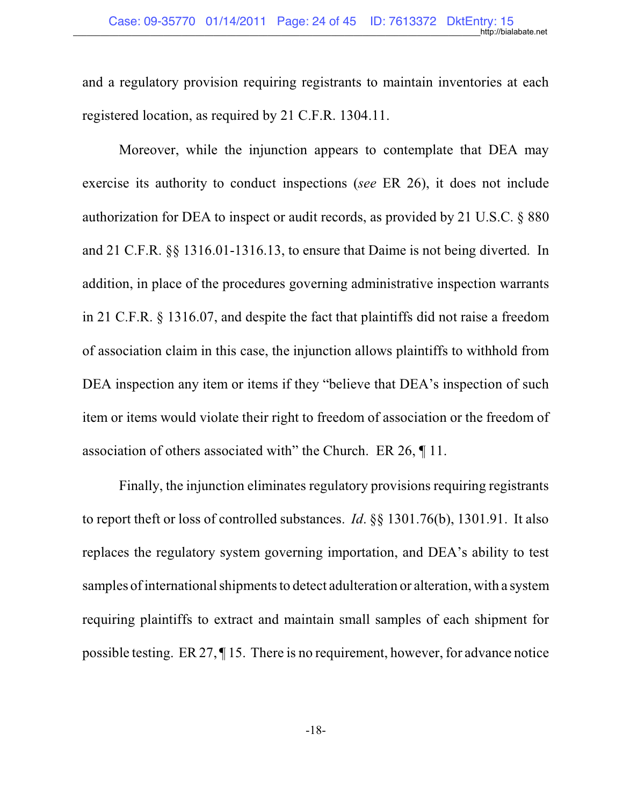and a regulatory provision requiring registrants to maintain inventories at each registered location, as required by 21 C.F.R. 1304.11.

Moreover, while the injunction appears to contemplate that DEA may exercise its authority to conduct inspections (*see* ER 26), it does not include authorization for DEA to inspect or audit records, as provided by 21 U.S.C. § 880 and 21 C.F.R. §§ 1316.01-1316.13, to ensure that Daime is not being diverted. In addition, in place of the procedures governing administrative inspection warrants in 21 C.F.R. § 1316.07, and despite the fact that plaintiffs did not raise a freedom of association claim in this case, the injunction allows plaintiffs to withhold from DEA inspection any item or items if they "believe that DEA's inspection of such item or items would violate their right to freedom of association or the freedom of association of others associated with" the Church. ER 26, ¶ 11.

Finally, the injunction eliminates regulatory provisions requiring registrants to report theft or loss of controlled substances. *Id*. §§ 1301.76(b), 1301.91. It also replaces the regulatory system governing importation, and DEA's ability to test samples of international shipments to detect adulteration or alteration, with a system requiring plaintiffs to extract and maintain small samples of each shipment for possible testing. ER 27, ¶ 15. There is no requirement, however, for advance notice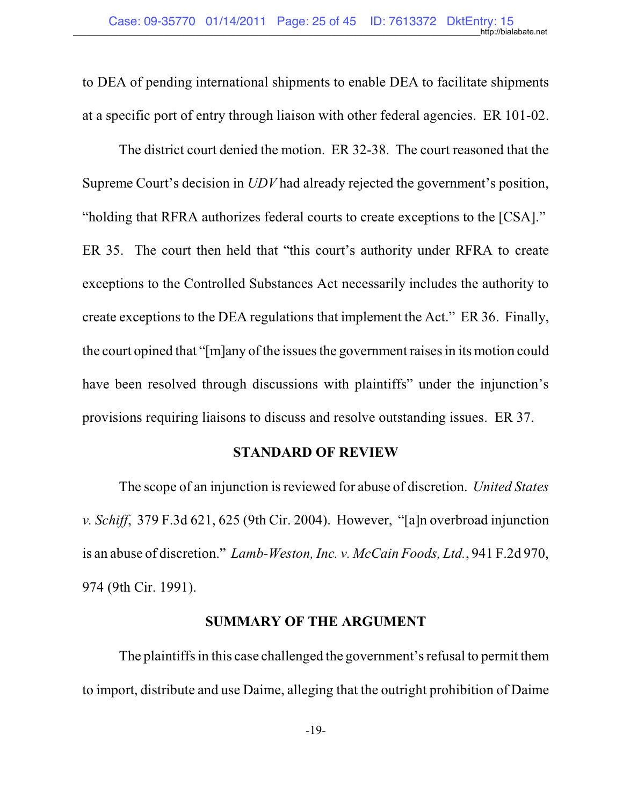to DEA of pending international shipments to enable DEA to facilitate shipments at a specific port of entry through liaison with other federal agencies. ER 101-02.

The district court denied the motion. ER 32-38. The court reasoned that the Supreme Court's decision in *UDV* had already rejected the government's position, "holding that RFRA authorizes federal courts to create exceptions to the [CSA]." ER 35. The court then held that "this court's authority under RFRA to create exceptions to the Controlled Substances Act necessarily includes the authority to create exceptions to the DEA regulations that implement the Act." ER 36. Finally, the court opined that "[m]any of the issues the government raises in its motion could have been resolved through discussions with plaintiffs" under the injunction's provisions requiring liaisons to discuss and resolve outstanding issues. ER 37.

#### **STANDARD OF REVIEW**

The scope of an injunction is reviewed for abuse of discretion. *United States v. Schiff*, 379 F.3d 621, 625 (9th Cir. 2004). However, "[a]n overbroad injunction is an abuse of discretion." *Lamb-Weston, Inc. v. McCain Foods, Ltd.*, 941 F.2d 970, 974 (9th Cir. 1991).

#### **SUMMARY OF THE ARGUMENT**

The plaintiffs in this case challenged the government's refusal to permit them to import, distribute and use Daime, alleging that the outright prohibition of Daime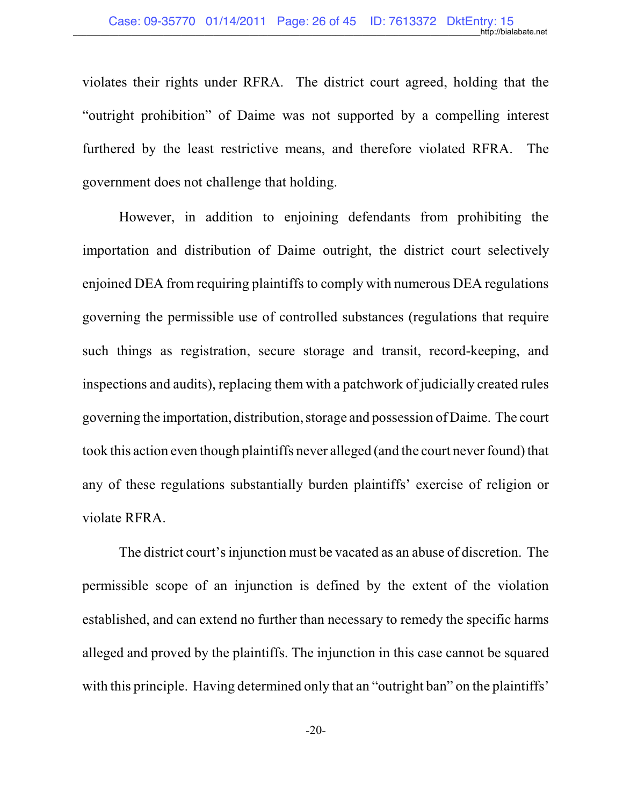violates their rights under RFRA. The district court agreed, holding that the "outright prohibition" of Daime was not supported by a compelling interest furthered by the least restrictive means, and therefore violated RFRA. The government does not challenge that holding.

However, in addition to enjoining defendants from prohibiting the importation and distribution of Daime outright, the district court selectively enjoined DEA from requiring plaintiffs to comply with numerous DEA regulations governing the permissible use of controlled substances (regulations that require such things as registration, secure storage and transit, record-keeping, and inspections and audits), replacing them with a patchwork of judicially created rules governing the importation, distribution, storage and possession of Daime. The court took this action even though plaintiffs never alleged (and the court never found) that any of these regulations substantially burden plaintiffs' exercise of religion or violate RFRA.

The district court's injunction must be vacated as an abuse of discretion. The permissible scope of an injunction is defined by the extent of the violation established, and can extend no further than necessary to remedy the specific harms alleged and proved by the plaintiffs. The injunction in this case cannot be squared with this principle. Having determined only that an "outright ban" on the plaintiffs'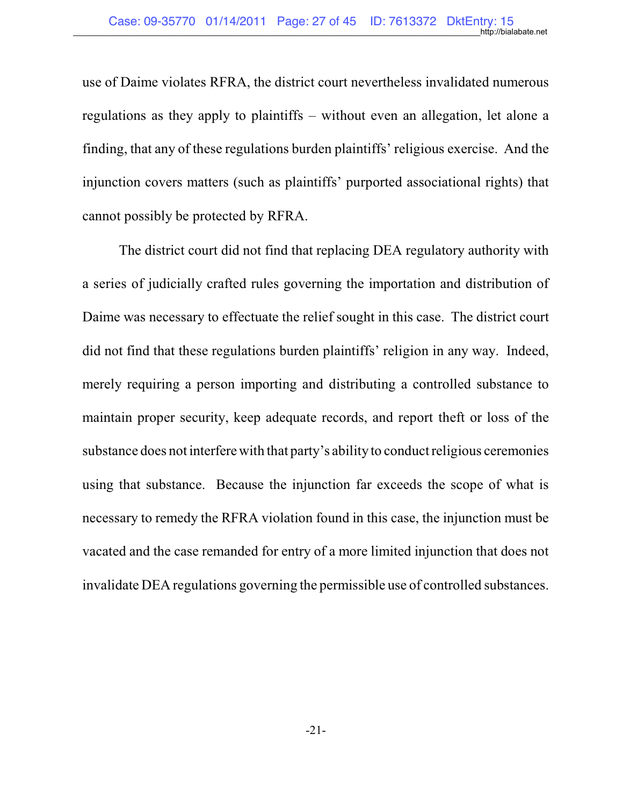use of Daime violates RFRA, the district court nevertheless invalidated numerous regulations as they apply to plaintiffs – without even an allegation, let alone a finding, that any of these regulations burden plaintiffs' religious exercise. And the injunction covers matters (such as plaintiffs' purported associational rights) that cannot possibly be protected by RFRA.

The district court did not find that replacing DEA regulatory authority with a series of judicially crafted rules governing the importation and distribution of Daime was necessary to effectuate the relief sought in this case. The district court did not find that these regulations burden plaintiffs' religion in any way. Indeed, merely requiring a person importing and distributing a controlled substance to maintain proper security, keep adequate records, and report theft or loss of the substance does not interfere with that party's ability to conduct religious ceremonies using that substance. Because the injunction far exceeds the scope of what is necessary to remedy the RFRA violation found in this case, the injunction must be vacated and the case remanded for entry of a more limited injunction that does not invalidate DEA regulations governing the permissible use of controlled substances.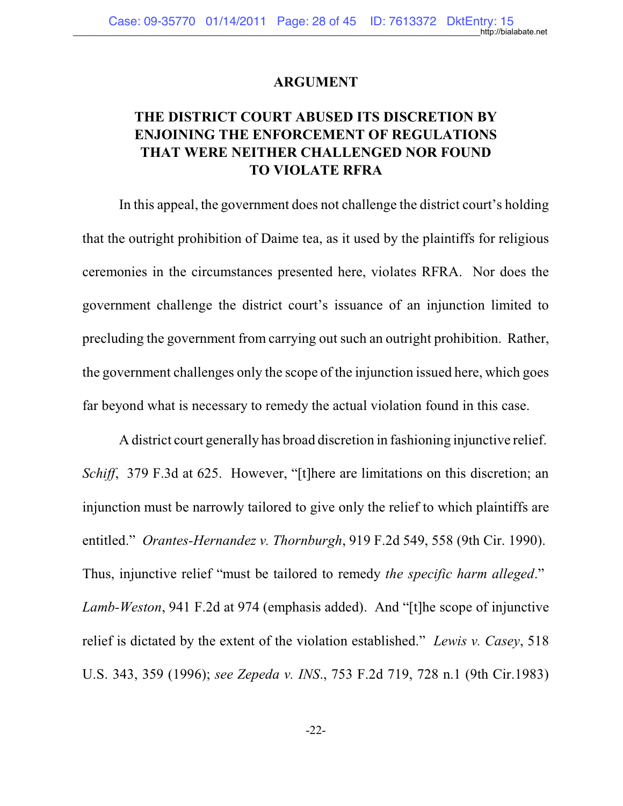#### **ARGUMENT**

## **THE DISTRICT COURT ABUSED ITS DISCRETION BY ENJOINING THE ENFORCEMENT OF REGULATIONS THAT WERE NEITHER CHALLENGED NOR FOUND TO VIOLATE RFRA**

In this appeal, the government does not challenge the district court's holding that the outright prohibition of Daime tea, as it used by the plaintiffs for religious ceremonies in the circumstances presented here, violates RFRA. Nor does the government challenge the district court's issuance of an injunction limited to precluding the government from carrying out such an outright prohibition. Rather, the government challenges only the scope of the injunction issued here, which goes far beyond what is necessary to remedy the actual violation found in this case.

A district court generally has broad discretion in fashioning injunctive relief. *Schiff*, 379 F.3d at 625. However, "[t]here are limitations on this discretion; an injunction must be narrowly tailored to give only the relief to which plaintiffs are entitled." *Orantes-Hernandez v. Thornburgh*, 919 F.2d 549, 558 (9th Cir. 1990). Thus, injunctive relief "must be tailored to remedy *the specific harm alleged*." *Lamb-Weston*, 941 F.2d at 974 (emphasis added). And "[t]he scope of injunctive relief is dictated by the extent of the violation established." *Lewis v. Casey*, 518 U.S. 343, 359 (1996); *see Zepeda v. INS*., 753 F.2d 719, 728 n.1 (9th Cir.1983)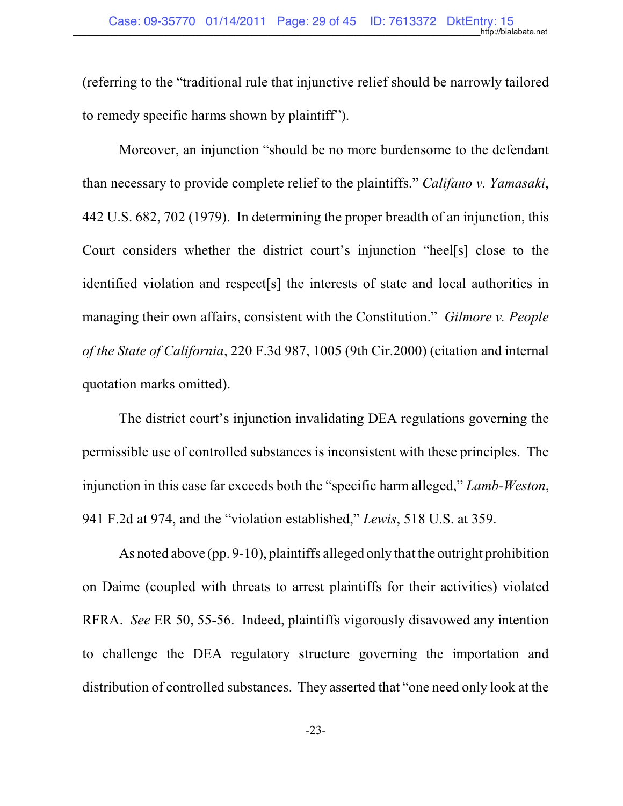(referring to the "traditional rule that injunctive relief should be narrowly tailored to remedy specific harms shown by plaintiff").

Moreover, an injunction "should be no more burdensome to the defendant than necessary to provide complete relief to the plaintiffs." *Califano v. Yamasaki*, 442 U.S. 682, 702 (1979). In determining the proper breadth of an injunction, this Court considers whether the district court's injunction "heel[s] close to the identified violation and respect[s] the interests of state and local authorities in managing their own affairs, consistent with the Constitution." *Gilmore v. People of the State of California*, 220 F.3d 987, 1005 (9th Cir.2000) (citation and internal quotation marks omitted).

The district court's injunction invalidating DEA regulations governing the permissible use of controlled substances is inconsistent with these principles. The injunction in this case far exceeds both the "specific harm alleged," *Lamb-Weston*, 941 F.2d at 974, and the "violation established," *Lewis*, 518 U.S. at 359.

As noted above (pp. 9-10), plaintiffs alleged only that the outright prohibition on Daime (coupled with threats to arrest plaintiffs for their activities) violated RFRA. *See* ER 50, 55-56. Indeed, plaintiffs vigorously disavowed any intention to challenge the DEA regulatory structure governing the importation and distribution of controlled substances. They asserted that "one need only look at the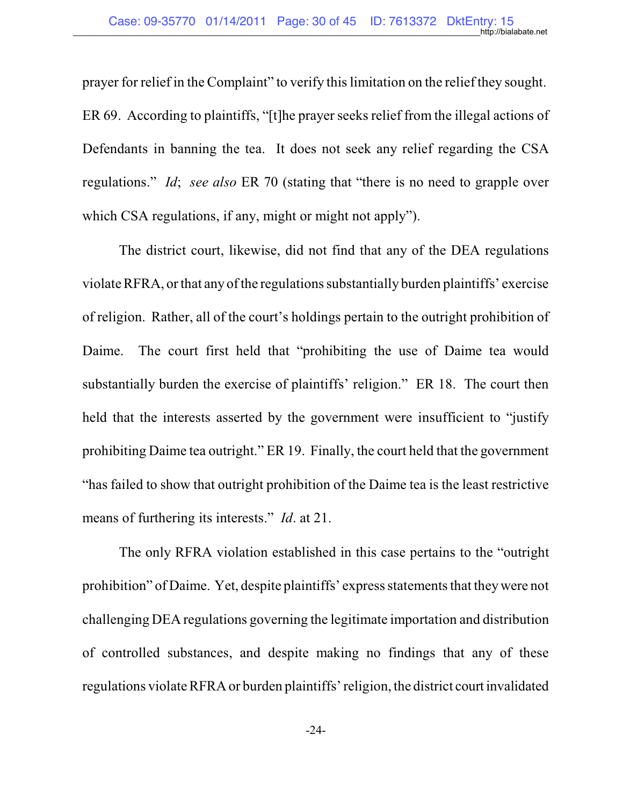prayer for relief in the Complaint" to verify this limitation on the relief they sought. ER 69. According to plaintiffs, "[t]he prayer seeks relief from the illegal actions of Defendants in banning the tea. It does not seek any relief regarding the CSA regulations." *Id*; *see also* ER 70 (stating that "there is no need to grapple over which CSA regulations, if any, might or might not apply").

The district court, likewise, did not find that any of the DEA regulations violate RFRA, or that any of the regulations substantially burden plaintiffs' exercise of religion. Rather, all of the court's holdings pertain to the outright prohibition of Daime. The court first held that "prohibiting the use of Daime tea would substantially burden the exercise of plaintiffs' religion." ER 18. The court then held that the interests asserted by the government were insufficient to "justify prohibiting Daime tea outright." ER 19. Finally, the court held that the government "has failed to show that outright prohibition of the Daime tea is the least restrictive means of furthering its interests." *Id*. at 21.

The only RFRA violation established in this case pertains to the "outright prohibition" of Daime. Yet, despite plaintiffs' express statements that they were not challenging DEA regulations governing the legitimate importation and distribution of controlled substances, and despite making no findings that any of these regulations violate RFRA or burden plaintiffs' religion, the district court invalidated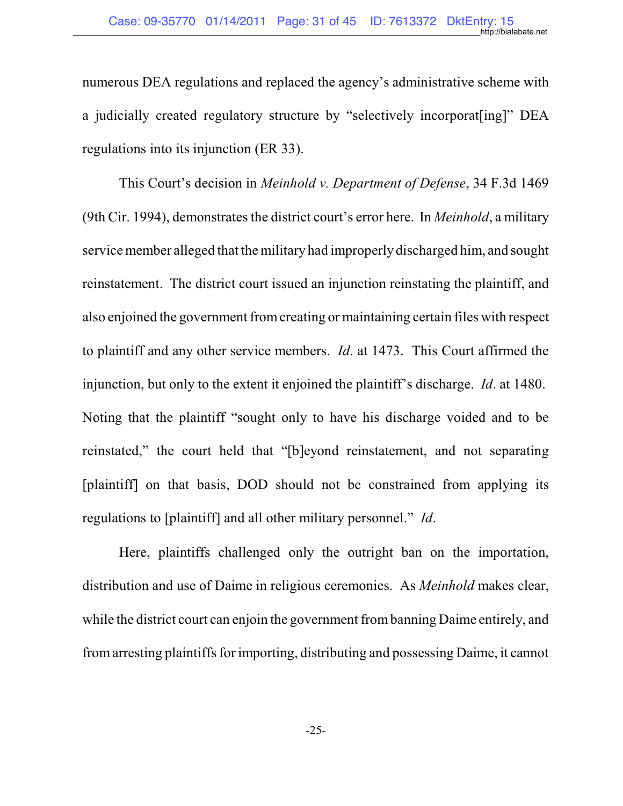numerous DEA regulations and replaced the agency's administrative scheme with a judicially created regulatory structure by "selectively incorporat[ing]" DEA regulations into its injunction (ER 33).

This Court's decision in *Meinhold v. Department of Defense*, 34 F.3d 1469 (9th Cir. 1994), demonstrates the district court's error here. In *Meinhold*, a military service member alleged that the military had improperly discharged him, and sought reinstatement. The district court issued an injunction reinstating the plaintiff, and also enjoined the government fromcreating or maintaining certain files with respect to plaintiff and any other service members. *Id*. at 1473. This Court affirmed the injunction, but only to the extent it enjoined the plaintiff's discharge. *Id*. at 1480. Noting that the plaintiff "sought only to have his discharge voided and to be reinstated," the court held that "[b]eyond reinstatement, and not separating [plaintiff] on that basis, DOD should not be constrained from applying its regulations to [plaintiff] and all other military personnel." *Id*.

Here, plaintiffs challenged only the outright ban on the importation, distribution and use of Daime in religious ceremonies. As *Meinhold* makes clear, while the district court can enjoin the government frombanning Daime entirely, and fromarresting plaintiffs for importing, distributing and possessing Daime, it cannot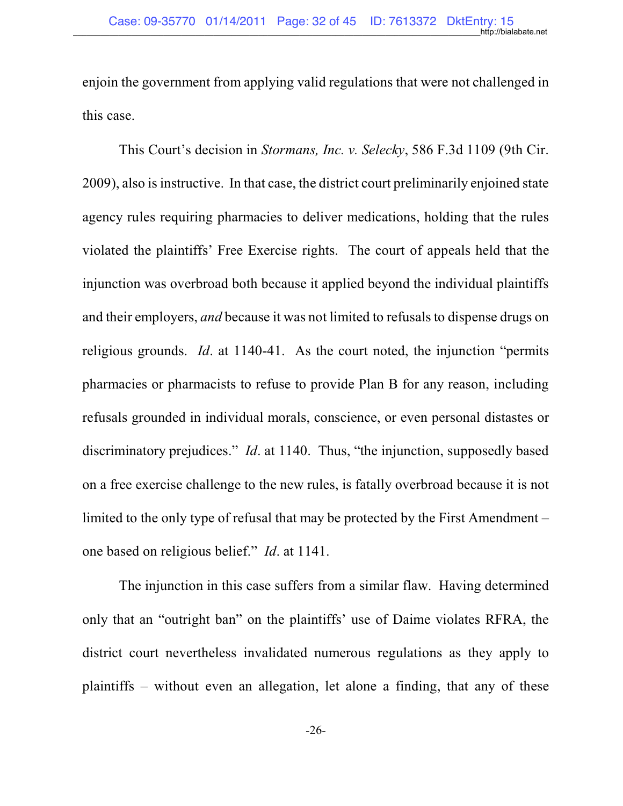enjoin the government from applying valid regulations that were not challenged in this case.

This Court's decision in *Stormans, Inc. v. Selecky*, 586 F.3d 1109 (9th Cir. 2009), also is instructive. In that case, the district court preliminarily enjoined state agency rules requiring pharmacies to deliver medications, holding that the rules violated the plaintiffs' Free Exercise rights. The court of appeals held that the injunction was overbroad both because it applied beyond the individual plaintiffs and their employers, *and* because it was not limited to refusals to dispense drugs on religious grounds. *Id*. at 1140-41. As the court noted, the injunction "permits pharmacies or pharmacists to refuse to provide Plan B for any reason, including refusals grounded in individual morals, conscience, or even personal distastes or discriminatory prejudices." *Id*. at 1140. Thus, "the injunction, supposedly based on a free exercise challenge to the new rules, is fatally overbroad because it is not limited to the only type of refusal that may be protected by the First Amendment – one based on religious belief." *Id*. at 1141.

The injunction in this case suffers from a similar flaw. Having determined only that an "outright ban" on the plaintiffs' use of Daime violates RFRA, the district court nevertheless invalidated numerous regulations as they apply to plaintiffs – without even an allegation, let alone a finding, that any of these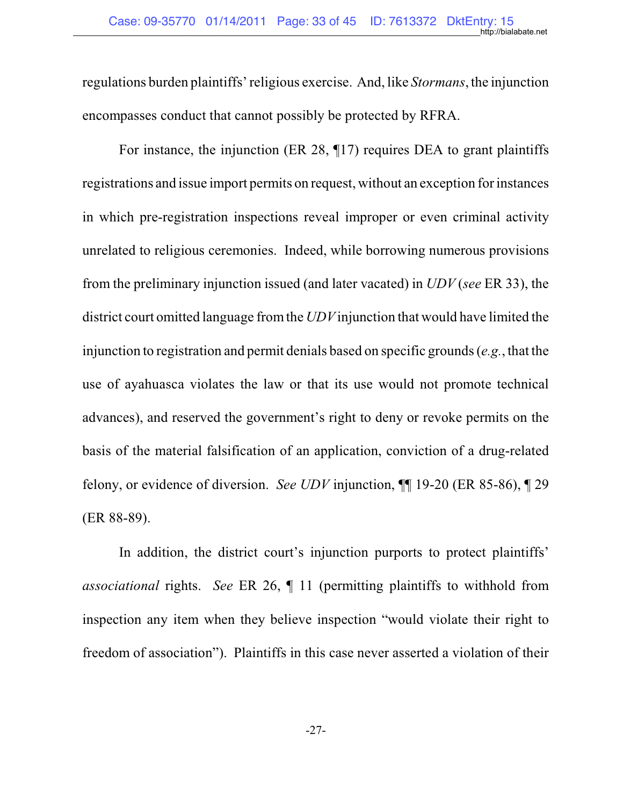regulations burden plaintiffs' religious exercise. And, like *Stormans*, the injunction encompasses conduct that cannot possibly be protected by RFRA.

For instance, the injunction (ER 28, ¶17) requires DEA to grant plaintiffs registrations and issue import permits on request, without an exception for instances in which pre-registration inspections reveal improper or even criminal activity unrelated to religious ceremonies. Indeed, while borrowing numerous provisions from the preliminary injunction issued (and later vacated) in *UDV* (*see* ER 33), the district court omitted language fromthe *UDV*injunction that would have limited the injunction to registration and permit denials based on specific grounds (*e.g.*, that the use of ayahuasca violates the law or that its use would not promote technical advances), and reserved the government's right to deny or revoke permits on the basis of the material falsification of an application, conviction of a drug-related felony, or evidence of diversion. *See UDV* injunction, ¶¶ 19-20 (ER 85-86), ¶ 29 (ER 88-89).

In addition, the district court's injunction purports to protect plaintiffs' *associational* rights. *See* ER 26, ¶ 11 (permitting plaintiffs to withhold from inspection any item when they believe inspection "would violate their right to freedom of association"). Plaintiffs in this case never asserted a violation of their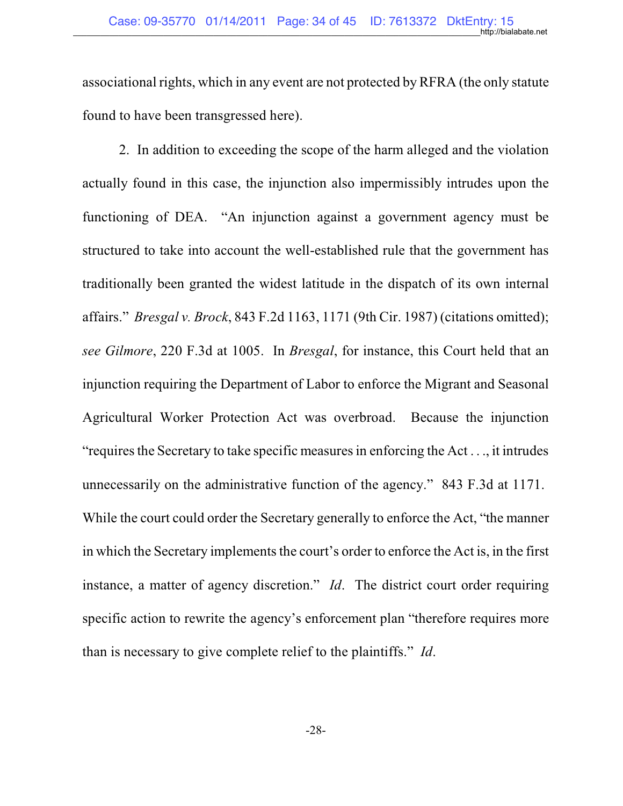associational rights, which in any event are not protected by RFRA (the only statute found to have been transgressed here).

2. In addition to exceeding the scope of the harm alleged and the violation actually found in this case, the injunction also impermissibly intrudes upon the functioning of DEA. "An injunction against a government agency must be structured to take into account the well-established rule that the government has traditionally been granted the widest latitude in the dispatch of its own internal affairs." *Bresgal v. Brock*, 843 F.2d 1163, 1171 (9th Cir. 1987) (citations omitted); *see Gilmore*, 220 F.3d at 1005. In *Bresgal*, for instance, this Court held that an injunction requiring the Department of Labor to enforce the Migrant and Seasonal Agricultural Worker Protection Act was overbroad. Because the injunction "requires the Secretary to take specific measures in enforcing the Act  $\dots$ , it intrudes unnecessarily on the administrative function of the agency." 843 F.3d at 1171. While the court could order the Secretary generally to enforce the Act, "the manner in which the Secretary implements the court's order to enforce the Act is, in the first instance, a matter of agency discretion." *Id*. The district court order requiring specific action to rewrite the agency's enforcement plan "therefore requires more than is necessary to give complete relief to the plaintiffs." *Id*.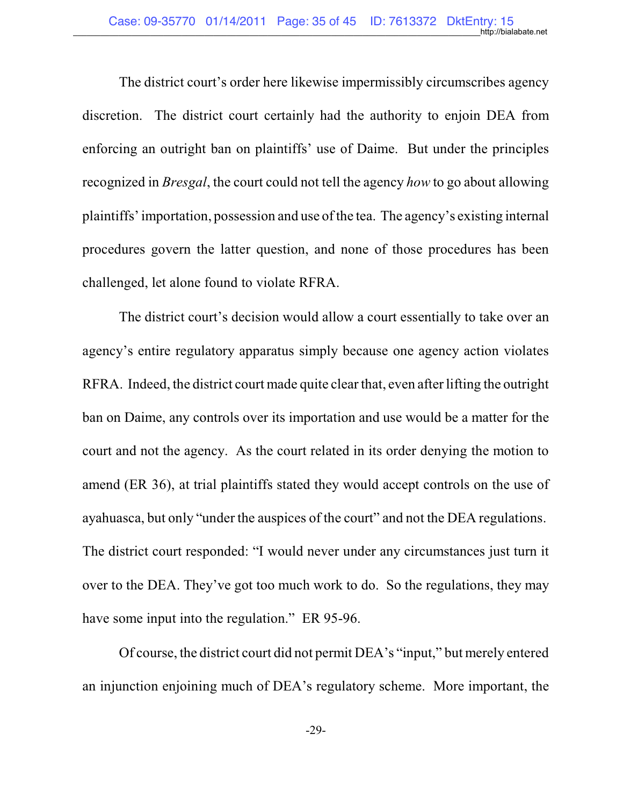The district court's order here likewise impermissibly circumscribes agency discretion. The district court certainly had the authority to enjoin DEA from enforcing an outright ban on plaintiffs' use of Daime. But under the principles recognized in *Bresgal*, the court could not tell the agency *how* to go about allowing plaintiffs' importation, possession and use ofthe tea. The agency's existing internal procedures govern the latter question, and none of those procedures has been challenged, let alone found to violate RFRA.

The district court's decision would allow a court essentially to take over an agency's entire regulatory apparatus simply because one agency action violates RFRA. Indeed, the district court made quite clear that, even after lifting the outright ban on Daime, any controls over its importation and use would be a matter for the court and not the agency. As the court related in its order denying the motion to amend (ER 36), at trial plaintiffs stated they would accept controls on the use of ayahuasca, but only "under the auspices of the court" and not the DEA regulations. The district court responded: "I would never under any circumstances just turn it over to the DEA. They've got too much work to do. So the regulations, they may have some input into the regulation." ER 95-96.

Of course, the district court did not permit DEA's "input," but merely entered an injunction enjoining much of DEA's regulatory scheme. More important, the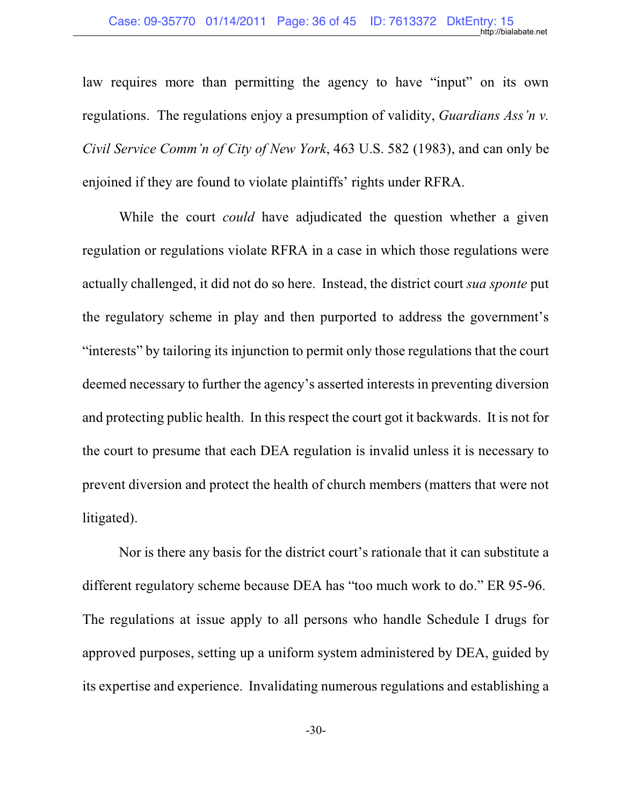law requires more than permitting the agency to have "input" on its own regulations. The regulations enjoy a presumption of validity, *Guardians Ass'n v. Civil Service Comm'n of City of New York*, 463 U.S. 582 (1983), and can only be enjoined if they are found to violate plaintiffs' rights under RFRA.

While the court *could* have adjudicated the question whether a given regulation or regulations violate RFRA in a case in which those regulations were actually challenged, it did not do so here. Instead, the district court *sua sponte* put the regulatory scheme in play and then purported to address the government's "interests" by tailoring its injunction to permit only those regulations that the court deemed necessary to further the agency's asserted interests in preventing diversion and protecting public health. In this respect the court got it backwards. It is not for the court to presume that each DEA regulation is invalid unless it is necessary to prevent diversion and protect the health of church members (matters that were not litigated).

Nor is there any basis for the district court's rationale that it can substitute a different regulatory scheme because DEA has "too much work to do." ER 95-96. The regulations at issue apply to all persons who handle Schedule I drugs for approved purposes, setting up a uniform system administered by DEA, guided by its expertise and experience. Invalidating numerous regulations and establishing a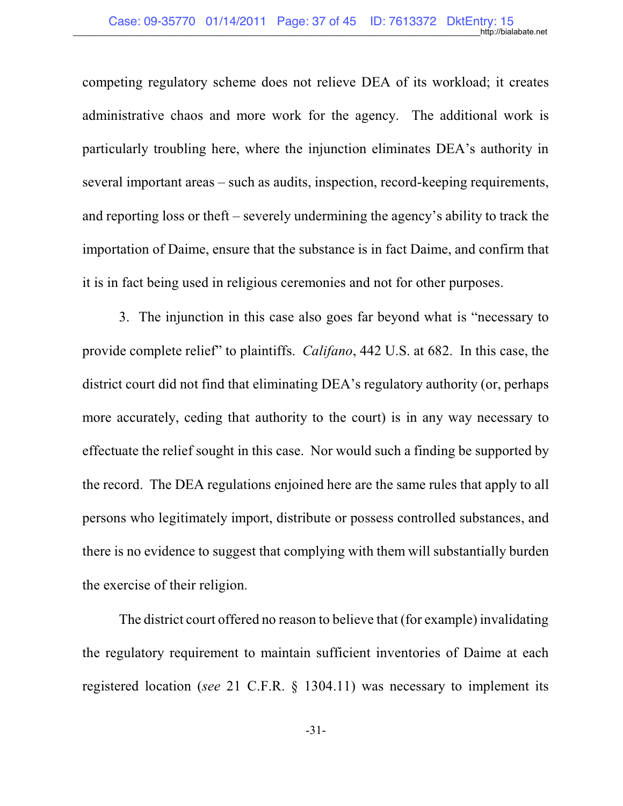competing regulatory scheme does not relieve DEA of its workload; it creates administrative chaos and more work for the agency. The additional work is particularly troubling here, where the injunction eliminates DEA's authority in several important areas – such as audits, inspection, record-keeping requirements, and reporting loss or theft – severely undermining the agency's ability to track the importation of Daime, ensure that the substance is in fact Daime, and confirm that it is in fact being used in religious ceremonies and not for other purposes.

3. The injunction in this case also goes far beyond what is "necessary to provide complete relief" to plaintiffs. *Califano*, 442 U.S. at 682. In this case, the district court did not find that eliminating DEA's regulatory authority (or, perhaps more accurately, ceding that authority to the court) is in any way necessary to effectuate the relief sought in this case. Nor would such a finding be supported by the record. The DEA regulations enjoined here are the same rules that apply to all persons who legitimately import, distribute or possess controlled substances, and there is no evidence to suggest that complying with them will substantially burden the exercise of their religion.

The district court offered no reason to believe that (for example) invalidating the regulatory requirement to maintain sufficient inventories of Daime at each registered location (*see* 21 C.F.R. § 1304.11) was necessary to implement its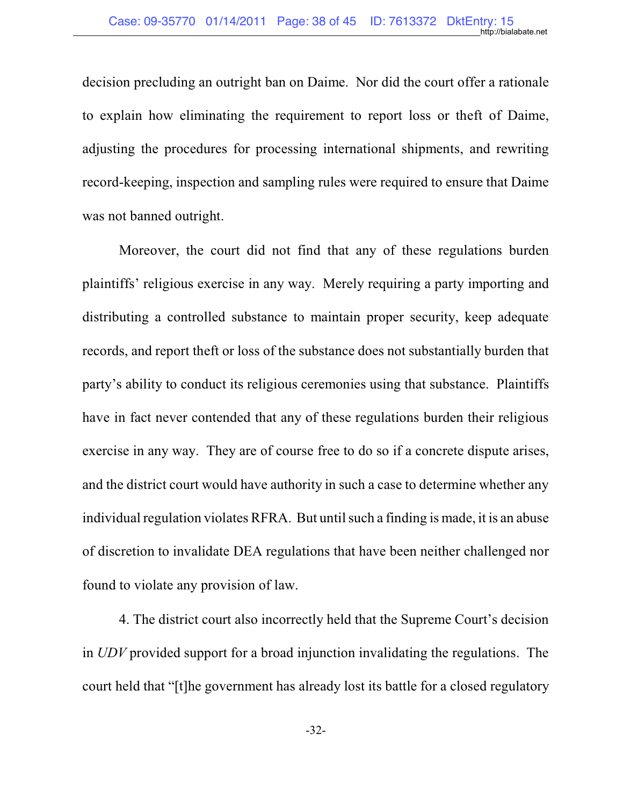decision precluding an outright ban on Daime. Nor did the court offer a rationale to explain how eliminating the requirement to report loss or theft of Daime, adjusting the procedures for processing international shipments, and rewriting record-keeping, inspection and sampling rules were required to ensure that Daime was not banned outright.

Moreover, the court did not find that any of these regulations burden plaintiffs' religious exercise in any way. Merely requiring a party importing and distributing a controlled substance to maintain proper security, keep adequate records, and report theft or loss of the substance does not substantially burden that party's ability to conduct its religious ceremonies using that substance. Plaintiffs have in fact never contended that any of these regulations burden their religious exercise in any way. They are of course free to do so if a concrete dispute arises, and the district court would have authority in such a case to determine whether any individual regulation violates RFRA. But until such a finding is made, it is an abuse of discretion to invalidate DEA regulations that have been neither challenged nor found to violate any provision of law.

4. The district court also incorrectly held that the Supreme Court's decision in *UDV* provided support for a broad injunction invalidating the regulations. The court held that "[t]he government has already lost its battle for a closed regulatory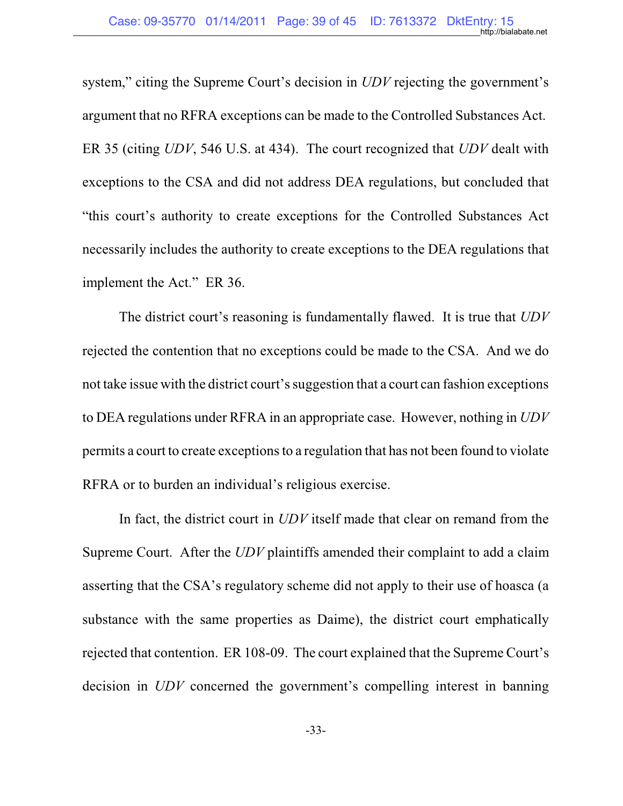system," citing the Supreme Court's decision in *UDV* rejecting the government's argument that no RFRA exceptions can be made to the Controlled Substances Act. ER 35 (citing *UDV*, 546 U.S. at 434). The court recognized that *UDV* dealt with exceptions to the CSA and did not address DEA regulations, but concluded that "this court's authority to create exceptions for the Controlled Substances Act necessarily includes the authority to create exceptions to the DEA regulations that implement the Act." ER 36.

The district court's reasoning is fundamentally flawed. It is true that *UDV* rejected the contention that no exceptions could be made to the CSA. And we do not take issue with the district court's suggestion that a court can fashion exceptions to DEA regulations under RFRA in an appropriate case. However, nothing in *UDV* permits a court to create exceptions to a regulation that has not been found to violate RFRA or to burden an individual's religious exercise.

In fact, the district court in *UDV* itself made that clear on remand from the Supreme Court. After the *UDV* plaintiffs amended their complaint to add a claim asserting that the CSA's regulatory scheme did not apply to their use of hoasca (a substance with the same properties as Daime), the district court emphatically rejected that contention. ER 108-09. The court explained that the Supreme Court's decision in *UDV* concerned the government's compelling interest in banning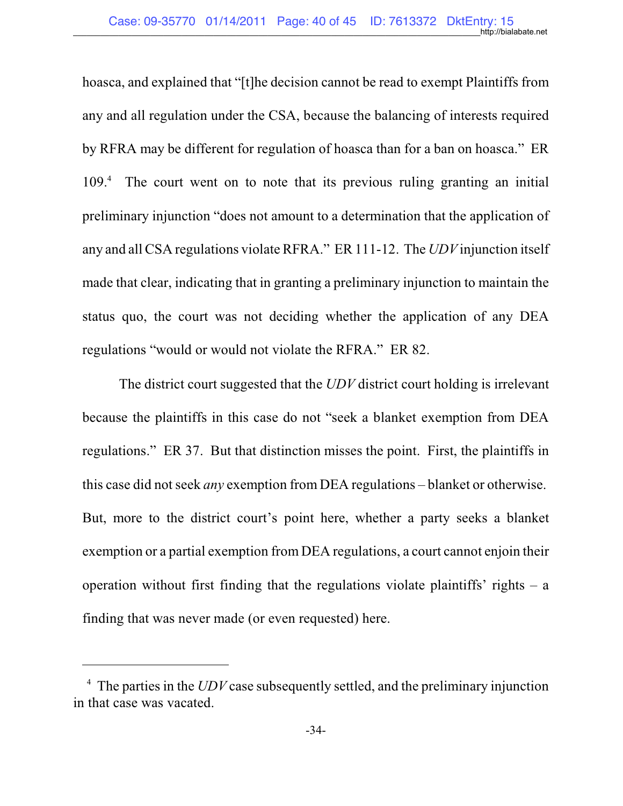hoasca, and explained that "[t]he decision cannot be read to exempt Plaintiffs from any and all regulation under the CSA, because the balancing of interests required by RFRA may be different for regulation of hoasca than for a ban on hoasca." ER  $109<sup>4</sup>$ . The court went on to note that its previous ruling granting an initial preliminary injunction "does not amount to a determination that the application of any and all CSA regulations violate RFRA." ER 111-12. The *UDV* injunction itself made that clear, indicating that in granting a preliminary injunction to maintain the status quo, the court was not deciding whether the application of any DEA regulations "would or would not violate the RFRA." ER 82.

The district court suggested that the *UDV* district court holding is irrelevant because the plaintiffs in this case do not "seek a blanket exemption from DEA regulations." ER 37. But that distinction misses the point. First, the plaintiffs in this case did not seek *any* exemption from DEA regulations – blanket or otherwise. But, more to the district court's point here, whether a party seeks a blanket exemption or a partial exemption from DEA regulations, a court cannot enjoin their operation without first finding that the regulations violate plaintiffs' rights  $- a$ finding that was never made (or even requested) here.

 $<sup>4</sup>$  The parties in the *UDV* case subsequently settled, and the preliminary injunction</sup> in that case was vacated.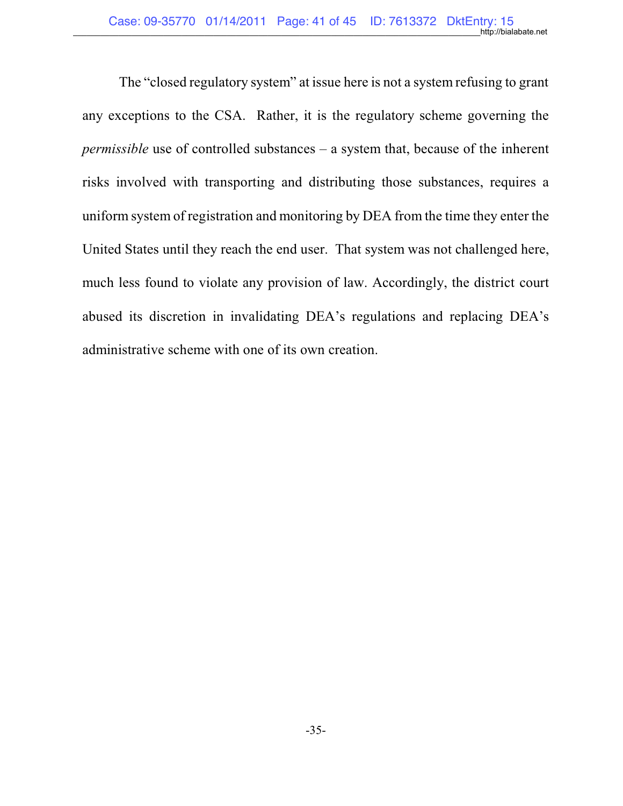The "closed regulatory system" at issue here is not a system refusing to grant any exceptions to the CSA. Rather, it is the regulatory scheme governing the *permissible* use of controlled substances – a system that, because of the inherent risks involved with transporting and distributing those substances, requires a uniform system of registration and monitoring by DEA from the time they enter the United States until they reach the end user. That system was not challenged here, much less found to violate any provision of law. Accordingly, the district court abused its discretion in invalidating DEA's regulations and replacing DEA's administrative scheme with one of its own creation.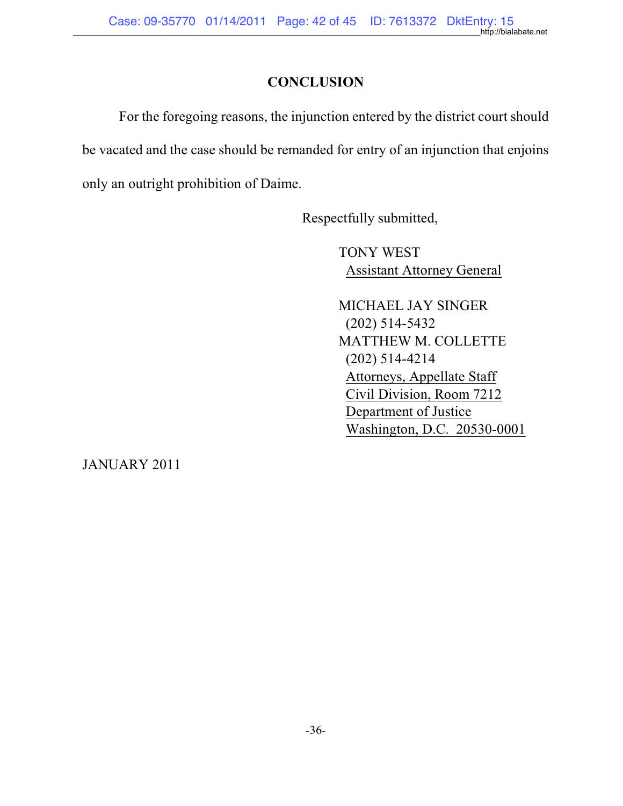## **CONCLUSION**

For the foregoing reasons, the injunction entered by the district court should be vacated and the case should be remanded for entry of an injunction that enjoins only an outright prohibition of Daime.

Respectfully submitted,

TONY WEST Assistant Attorney General

MICHAEL JAY SINGER (202) 514-5432 MATTHEW M. COLLETTE (202) 514-4214 Attorneys, Appellate Staff Civil Division, Room 7212 Department of Justice Washington, D.C. 20530-0001

JANUARY 2011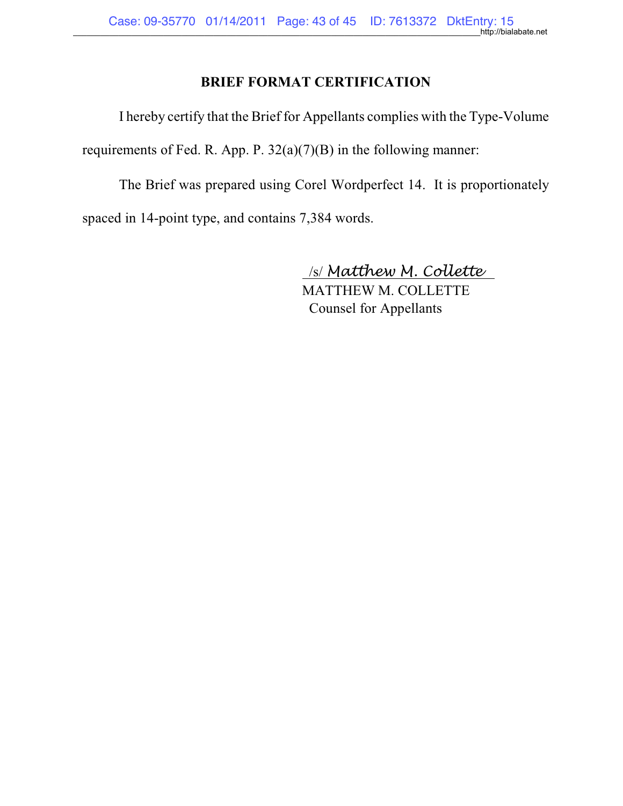## **BRIEF FORMAT CERTIFICATION**

I hereby certify that the Brief for Appellants complies with the Type-Volume

requirements of Fed. R. App. P. 32(a)(7)(B) in the following manner:

The Brief was prepared using Corel Wordperfect 14. It is proportionately spaced in 14-point type, and contains 7,384 words.

/s/ *Matthew M. Collette* 

MATTHEW M. COLLETTE Counsel for Appellants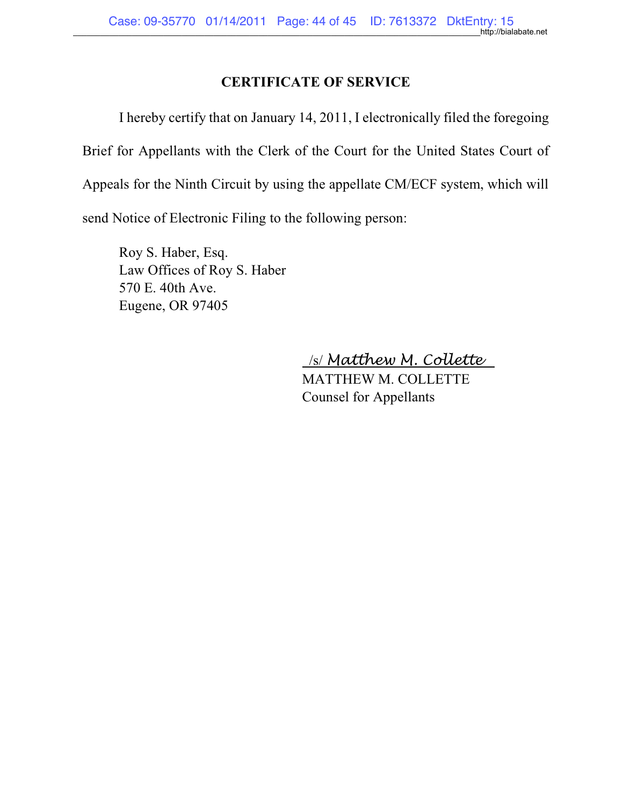## **CERTIFICATE OF SERVICE**

I hereby certify that on January 14, 2011, I electronically filed the foregoing Brief for Appellants with the Clerk of the Court for the United States Court of Appeals for the Ninth Circuit by using the appellate CM/ECF system, which will send Notice of Electronic Filing to the following person:

Roy S. Haber, Esq. Law Offices of Roy S. Haber 570 E. 40th Ave. Eugene, OR 97405

/s/ *Matthew M. Collette* 

MATTHEW M. COLLETTE Counsel for Appellants